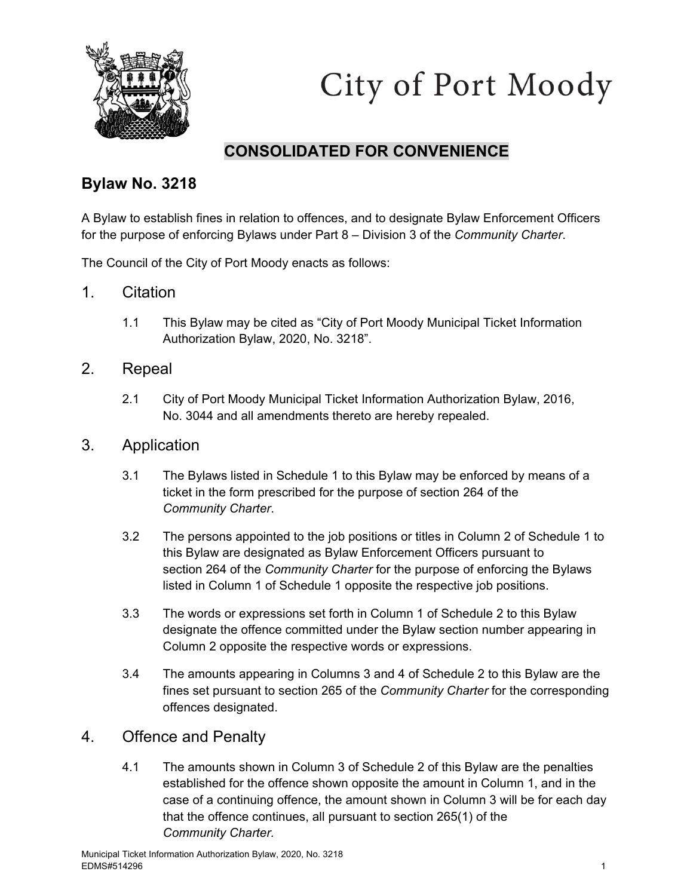

City of Port Moody

#### **CONSOLIDATED FOR CONVENIENCE**

#### **Bylaw No. 3218**

A Bylaw to establish fines in relation to offences, and to designate Bylaw Enforcement Officers for the purpose of enforcing Bylaws under Part 8 – Division 3 of the *Community Charter*.

The Council of the City of Port Moody enacts as follows:

- 1. Citation
	- 1.1 This Bylaw may be cited as "City of Port Moody Municipal Ticket Information Authorization Bylaw, 2020, No. 3218".
- 2. Repeal
	- 2.1 City of Port Moody Municipal Ticket Information Authorization Bylaw, 2016, No. 3044 and all amendments thereto are hereby repealed.
- 3. Application
	- 3.1 The Bylaws listed in Schedule 1 to this Bylaw may be enforced by means of a ticket in the form prescribed for the purpose of section 264 of the *Community Charter*.
	- 3.2 The persons appointed to the job positions or titles in Column 2 of Schedule 1 to this Bylaw are designated as Bylaw Enforcement Officers pursuant to section 264 of the *Community Charter* for the purpose of enforcing the Bylaws listed in Column 1 of Schedule 1 opposite the respective job positions.
	- 3.3 The words or expressions set forth in Column 1 of Schedule 2 to this Bylaw designate the offence committed under the Bylaw section number appearing in Column 2 opposite the respective words or expressions.
	- 3.4 The amounts appearing in Columns 3 and 4 of Schedule 2 to this Bylaw are the fines set pursuant to section 265 of the *Community Charter* for the corresponding offences designated.

#### 4. Offence and Penalty

4.1 The amounts shown in Column 3 of Schedule 2 of this Bylaw are the penalties established for the offence shown opposite the amount in Column 1, and in the case of a continuing offence, the amount shown in Column 3 will be for each day that the offence continues, all pursuant to section 265(1) of the *Community Charter.*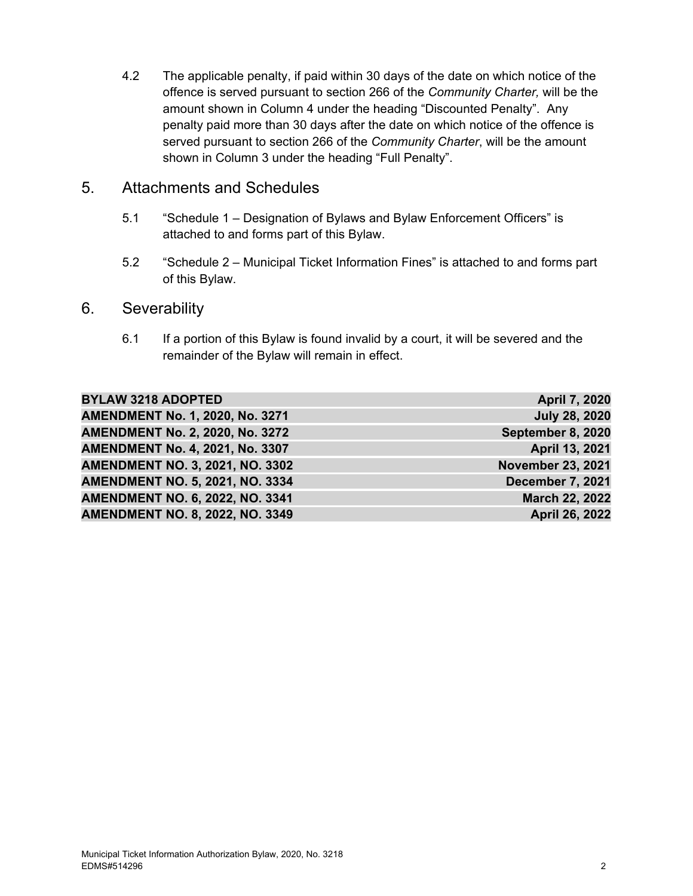4.2 The applicable penalty, if paid within 30 days of the date on which notice of the offence is served pursuant to section 266 of the *Community Charter,* will be the amount shown in Column 4 under the heading "Discounted Penalty". Any penalty paid more than 30 days after the date on which notice of the offence is served pursuant to section 266 of the *Community Charter*, will be the amount shown in Column 3 under the heading "Full Penalty".

#### 5. Attachments and Schedules

- 5.1 "Schedule 1 Designation of Bylaws and Bylaw Enforcement Officers" is attached to and forms part of this Bylaw.
- 5.2 "Schedule 2 Municipal Ticket Information Fines" is attached to and forms part of this Bylaw.

#### 6. Severability

6.1 If a portion of this Bylaw is found invalid by a court, it will be severed and the remainder of the Bylaw will remain in effect.

| <b>BYLAW 3218 ADOPTED</b>              | <b>April 7, 2020</b>     |
|----------------------------------------|--------------------------|
| AMENDMENT No. 1, 2020, No. 3271        | <b>July 28, 2020</b>     |
| <b>AMENDMENT No. 2, 2020, No. 3272</b> | September 8, 2020        |
| <b>AMENDMENT No. 4, 2021, No. 3307</b> | April 13, 2021           |
| <b>AMENDMENT NO. 3, 2021, NO. 3302</b> | <b>November 23, 2021</b> |
| <b>AMENDMENT NO. 5, 2021, NO. 3334</b> | December 7, 2021         |
| <b>AMENDMENT NO. 6, 2022, NO. 3341</b> | <b>March 22, 2022</b>    |
| <b>AMENDMENT NO. 8, 2022, NO. 3349</b> | April 26, 2022           |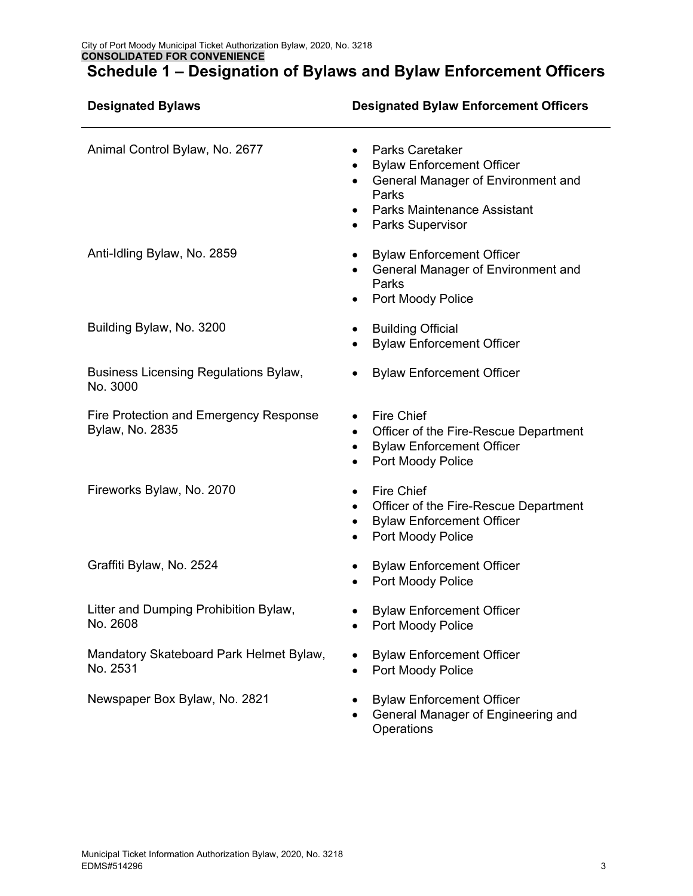| <b>Designated Bylaws</b>                                  | <b>Designated Bylaw Enforcement Officers</b>                                                                                                                                                         |
|-----------------------------------------------------------|------------------------------------------------------------------------------------------------------------------------------------------------------------------------------------------------------|
| Animal Control Bylaw, No. 2677                            | <b>Parks Caretaker</b><br>$\bullet$<br><b>Bylaw Enforcement Officer</b><br>General Manager of Environment and<br>Parks<br><b>Parks Maintenance Assistant</b><br><b>Parks Supervisor</b><br>$\bullet$ |
| Anti-Idling Bylaw, No. 2859                               | <b>Bylaw Enforcement Officer</b><br>General Manager of Environment and<br>Parks<br>Port Moody Police                                                                                                 |
| Building Bylaw, No. 3200                                  | <b>Building Official</b><br><b>Bylaw Enforcement Officer</b>                                                                                                                                         |
| Business Licensing Regulations Bylaw,<br>No. 3000         | <b>Bylaw Enforcement Officer</b><br>٠                                                                                                                                                                |
| Fire Protection and Emergency Response<br>Bylaw, No. 2835 | Fire Chief<br>Officer of the Fire-Rescue Department<br>$\bullet$<br><b>Bylaw Enforcement Officer</b><br>Port Moody Police<br>$\bullet$                                                               |
| Fireworks Bylaw, No. 2070                                 | Fire Chief<br>Officer of the Fire-Rescue Department<br><b>Bylaw Enforcement Officer</b><br>Port Moody Police                                                                                         |
| Graffiti Bylaw, No. 2524                                  | <b>Bylaw Enforcement Officer</b><br>Port Moody Police                                                                                                                                                |
| Litter and Dumping Prohibition Bylaw,<br>No. 2608         | <b>Bylaw Enforcement Officer</b><br>Port Moody Police                                                                                                                                                |
| Mandatory Skateboard Park Helmet Bylaw,<br>No. 2531       | <b>Bylaw Enforcement Officer</b><br><b>Port Moody Police</b><br>٠                                                                                                                                    |
| Newspaper Box Bylaw, No. 2821                             | <b>Bylaw Enforcement Officer</b><br>General Manager of Engineering and<br>Operations                                                                                                                 |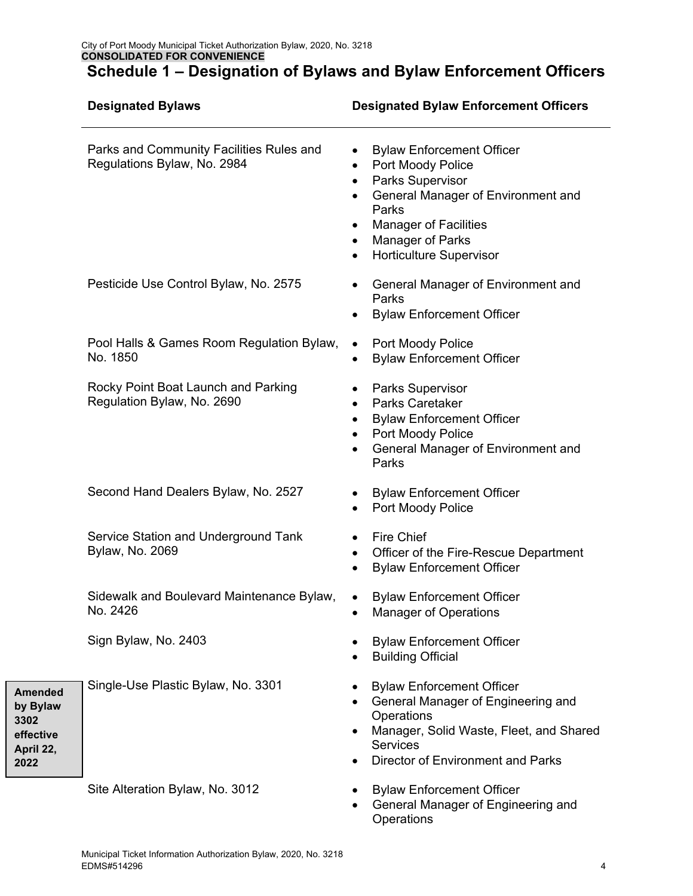|                                                                      | <b>Designated Bylaws</b>                                                | <b>Designated Bylaw Enforcement Officers</b>                                                                                                                                                                                                            |  |
|----------------------------------------------------------------------|-------------------------------------------------------------------------|---------------------------------------------------------------------------------------------------------------------------------------------------------------------------------------------------------------------------------------------------------|--|
|                                                                      | Parks and Community Facilities Rules and<br>Regulations Bylaw, No. 2984 | <b>Bylaw Enforcement Officer</b><br>$\bullet$<br>Port Moody Police<br>٠<br>Parks Supervisor<br>٠<br>General Manager of Environment and<br>Parks<br><b>Manager of Facilities</b><br>Manager of Parks<br>٠<br><b>Horticulture Supervisor</b><br>$\bullet$ |  |
|                                                                      | Pesticide Use Control Bylaw, No. 2575                                   | General Manager of Environment and<br>٠<br>Parks<br><b>Bylaw Enforcement Officer</b>                                                                                                                                                                    |  |
|                                                                      | Pool Halls & Games Room Regulation Bylaw,<br>No. 1850                   | Port Moody Police<br><b>Bylaw Enforcement Officer</b><br>$\bullet$                                                                                                                                                                                      |  |
|                                                                      | Rocky Point Boat Launch and Parking<br>Regulation Bylaw, No. 2690       | <b>Parks Supervisor</b><br><b>Parks Caretaker</b><br>$\bullet$<br><b>Bylaw Enforcement Officer</b><br>Port Moody Police<br>General Manager of Environment and<br>$\bullet$<br>Parks                                                                     |  |
|                                                                      | Second Hand Dealers Bylaw, No. 2527                                     | <b>Bylaw Enforcement Officer</b><br>٠<br>Port Moody Police                                                                                                                                                                                              |  |
|                                                                      | Service Station and Underground Tank<br><b>Bylaw, No. 2069</b>          | <b>Fire Chief</b><br>Officer of the Fire-Rescue Department<br>$\bullet$<br><b>Bylaw Enforcement Officer</b>                                                                                                                                             |  |
|                                                                      | Sidewalk and Boulevard Maintenance Bylaw,<br>No. 2426                   | <b>Bylaw Enforcement Officer</b><br>$\bullet$<br><b>Manager of Operations</b>                                                                                                                                                                           |  |
|                                                                      | Sign Bylaw, No. 2403                                                    | <b>Bylaw Enforcement Officer</b><br><b>Building Official</b>                                                                                                                                                                                            |  |
| <b>Amended</b><br>by Bylaw<br>3302<br>effective<br>April 22,<br>2022 | Single-Use Plastic Bylaw, No. 3301                                      | <b>Bylaw Enforcement Officer</b><br>General Manager of Engineering and<br>Operations<br>Manager, Solid Waste, Fleet, and Shared<br><b>Services</b><br><b>Director of Environment and Parks</b>                                                          |  |
|                                                                      | Site Alteration Bylaw, No. 3012                                         | <b>Bylaw Enforcement Officer</b><br>General Manager of Engineering and                                                                                                                                                                                  |  |

**Operations**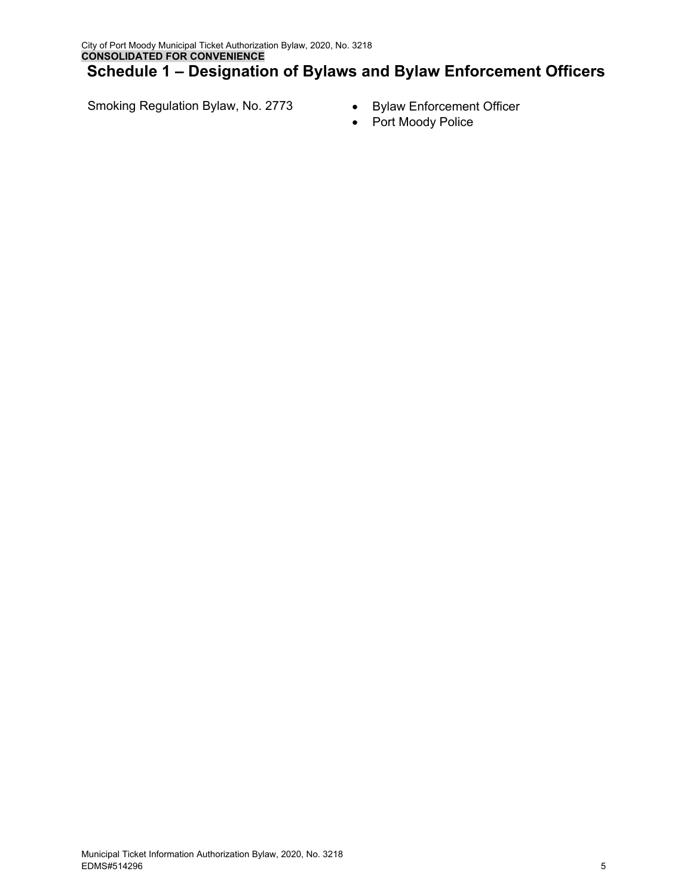Smoking Regulation Bylaw, No. 2773 • Bylaw Enforcement Officer

- 
- Port Moody Police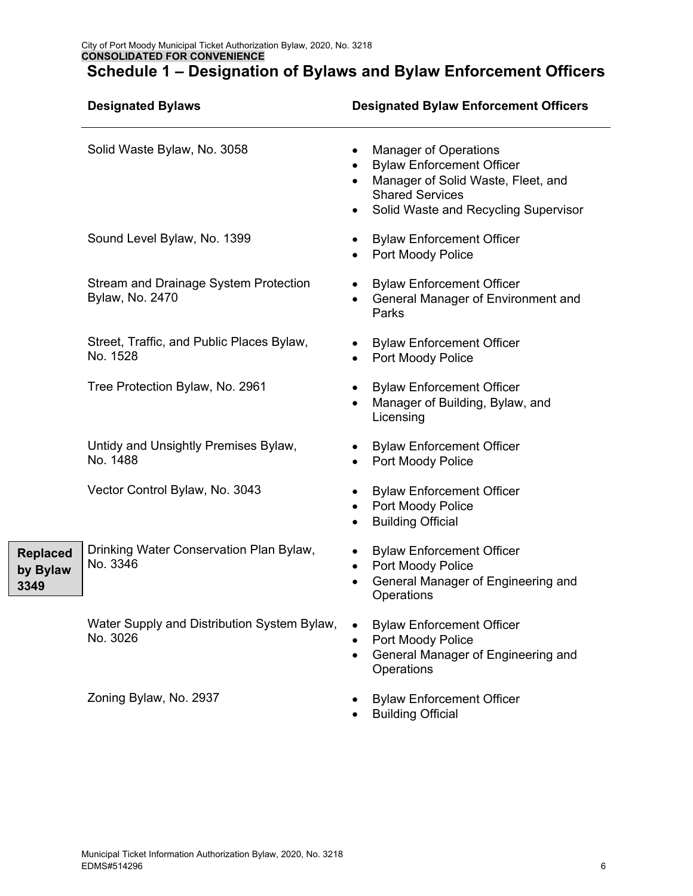|                                     | <b>Designated Bylaws</b>                                               |                                     | <b>Designated Bylaw Enforcement Officers</b>                                                                                                                             |
|-------------------------------------|------------------------------------------------------------------------|-------------------------------------|--------------------------------------------------------------------------------------------------------------------------------------------------------------------------|
|                                     | Solid Waste Bylaw, No. 3058                                            | $\bullet$<br>$\bullet$<br>٠         | <b>Manager of Operations</b><br><b>Bylaw Enforcement Officer</b><br>Manager of Solid Waste, Fleet, and<br><b>Shared Services</b><br>Solid Waste and Recycling Supervisor |
|                                     | Sound Level Bylaw, No. 1399                                            | $\bullet$                           | <b>Bylaw Enforcement Officer</b><br>Port Moody Police                                                                                                                    |
|                                     | <b>Stream and Drainage System Protection</b><br><b>Bylaw, No. 2470</b> |                                     | <b>Bylaw Enforcement Officer</b><br>General Manager of Environment and<br>Parks                                                                                          |
|                                     | Street, Traffic, and Public Places Bylaw,<br>No. 1528                  | $\bullet$                           | <b>Bylaw Enforcement Officer</b><br>Port Moody Police                                                                                                                    |
|                                     | Tree Protection Bylaw, No. 2961                                        | $\bullet$<br>$\bullet$              | <b>Bylaw Enforcement Officer</b><br>Manager of Building, Bylaw, and<br>Licensing                                                                                         |
|                                     | Untidy and Unsightly Premises Bylaw,<br>No. 1488                       |                                     | <b>Bylaw Enforcement Officer</b><br>Port Moody Police                                                                                                                    |
|                                     | Vector Control Bylaw, No. 3043                                         | $\bullet$<br>$\bullet$<br>$\bullet$ | <b>Bylaw Enforcement Officer</b><br>Port Moody Police<br><b>Building Official</b>                                                                                        |
| <b>Replaced</b><br>by Bylaw<br>3349 | Drinking Water Conservation Plan Bylaw,<br>No. 3346                    | $\bullet$<br>$\bullet$              | <b>Bylaw Enforcement Officer</b><br>Port Moody Police<br>General Manager of Engineering and<br>Operations                                                                |
|                                     | Water Supply and Distribution System Bylaw,<br>No. 3026                | $\bullet$                           | <b>Bylaw Enforcement Officer</b><br>Port Moody Police<br>General Manager of Engineering and<br>Operations                                                                |
|                                     | Zoning Bylaw, No. 2937                                                 |                                     | <b>Bylaw Enforcement Officer</b>                                                                                                                                         |

• Building Official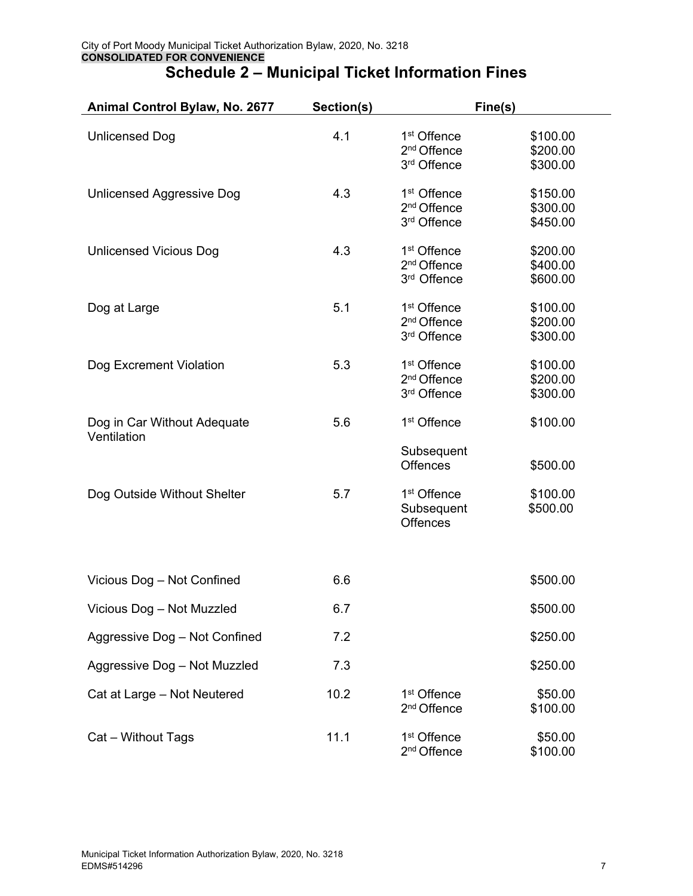| Animal Control Bylaw, No. 2677             | Section(s) | Fine(s)                                                           |                                  |
|--------------------------------------------|------------|-------------------------------------------------------------------|----------------------------------|
| <b>Unlicensed Dog</b>                      | 4.1        | 1 <sup>st</sup> Offence<br>2 <sup>nd</sup> Offence<br>3rd Offence | \$100.00<br>\$200.00<br>\$300.00 |
| <b>Unlicensed Aggressive Dog</b>           | 4.3        | 1 <sup>st</sup> Offence<br>2 <sup>nd</sup> Offence<br>3rd Offence | \$150.00<br>\$300.00<br>\$450.00 |
| <b>Unlicensed Vicious Dog</b>              | 4.3        | 1 <sup>st</sup> Offence<br>2 <sup>nd</sup> Offence<br>3rd Offence | \$200.00<br>\$400.00<br>\$600.00 |
| Dog at Large                               | 5.1        | 1 <sup>st</sup> Offence<br>2 <sup>nd</sup> Offence<br>3rd Offence | \$100.00<br>\$200.00<br>\$300.00 |
| Dog Excrement Violation                    | 5.3        | 1 <sup>st</sup> Offence<br>2 <sup>nd</sup> Offence<br>3rd Offence | \$100.00<br>\$200.00<br>\$300.00 |
| Dog in Car Without Adequate<br>Ventilation | 5.6        | 1 <sup>st</sup> Offence<br>Subsequent<br><b>Offences</b>          | \$100.00<br>\$500.00             |
| Dog Outside Without Shelter                | 5.7        | 1 <sup>st</sup> Offence<br>Subsequent<br><b>Offences</b>          | \$100.00<br>\$500.00             |
| Vicious Dog - Not Confined                 | 6.6        |                                                                   | \$500.00                         |
| Vicious Dog - Not Muzzled                  | 6.7        |                                                                   | \$500.00                         |
| Aggressive Dog - Not Confined              | 7.2        |                                                                   | \$250.00                         |
| Aggressive Dog - Not Muzzled               | 7.3        |                                                                   | \$250.00                         |
| Cat at Large - Not Neutered                | 10.2       | 1 <sup>st</sup> Offence<br>2 <sup>nd</sup> Offence                | \$50.00<br>\$100.00              |
| Cat - Without Tags                         | 11.1       | 1 <sup>st</sup> Offence<br>2 <sup>nd</sup> Offence                | \$50.00<br>\$100.00              |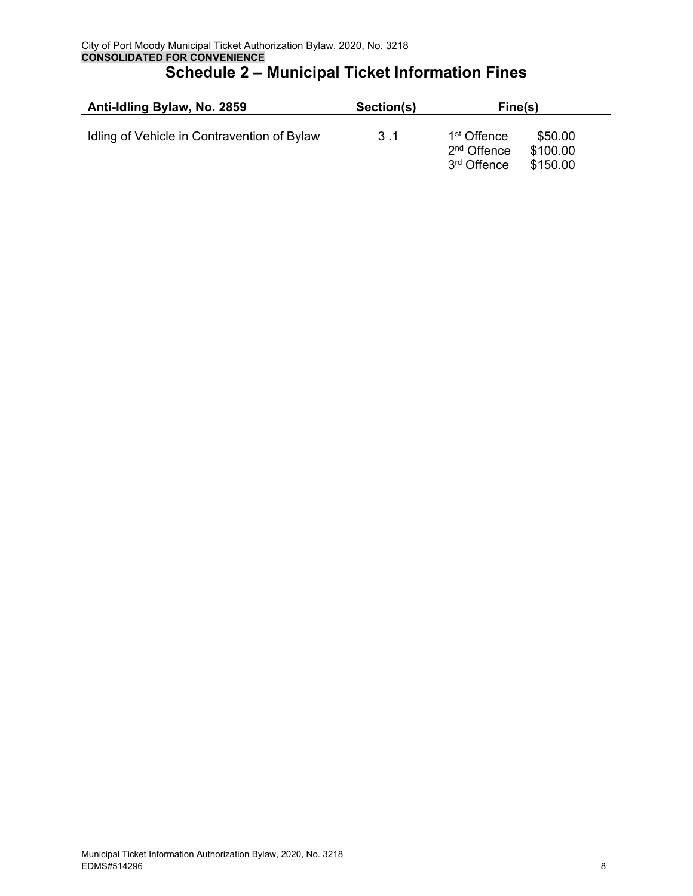| Anti-Idling Bylaw, No. 2859                 | Section(s) | Fine(s)                                                                       |                                 |  |
|---------------------------------------------|------------|-------------------------------------------------------------------------------|---------------------------------|--|
| Idling of Vehicle in Contravention of Bylaw | 3.1        | 1 <sup>st</sup> Offence<br>2 <sup>nd</sup> Offence<br>3 <sup>rd</sup> Offence | \$50.00<br>\$100.00<br>\$150.00 |  |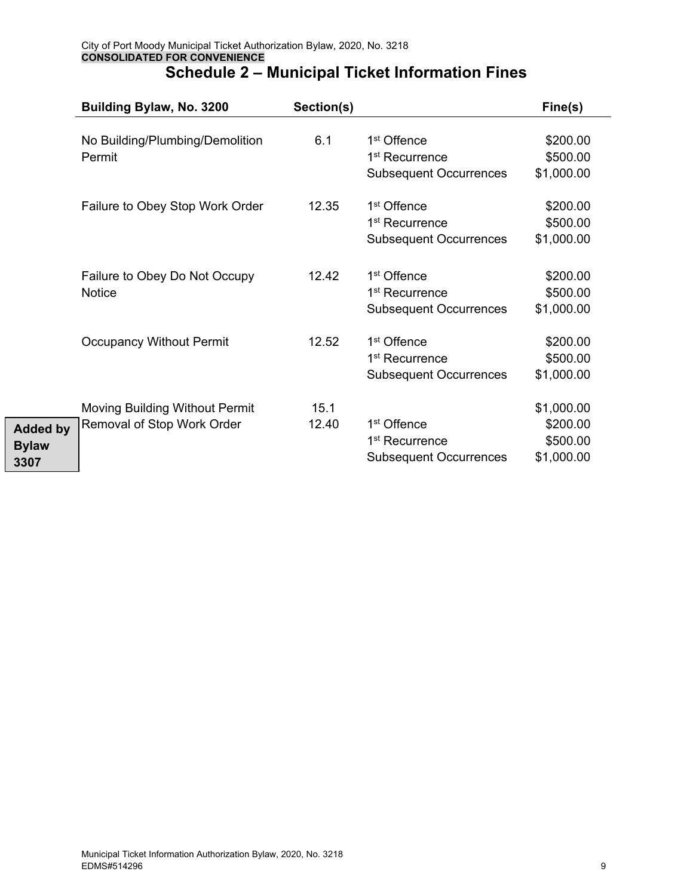|                                         | Building Bylaw, No. 3200                                            | Section(s)    |                                                                                        | Fine(s)                                          |
|-----------------------------------------|---------------------------------------------------------------------|---------------|----------------------------------------------------------------------------------------|--------------------------------------------------|
|                                         | No Building/Plumbing/Demolition<br>Permit                           | 6.1           | 1 <sup>st</sup> Offence<br>1 <sup>st</sup> Recurrence<br><b>Subsequent Occurrences</b> | \$200.00<br>\$500.00<br>\$1,000.00               |
|                                         | Failure to Obey Stop Work Order                                     | 12.35         | 1 <sup>st</sup> Offence<br>1 <sup>st</sup> Recurrence<br><b>Subsequent Occurrences</b> | \$200.00<br>\$500.00<br>\$1,000.00               |
|                                         | Failure to Obey Do Not Occupy<br><b>Notice</b>                      | 12.42         | 1 <sup>st</sup> Offence<br>1 <sup>st</sup> Recurrence<br><b>Subsequent Occurrences</b> | \$200.00<br>\$500.00<br>\$1,000.00               |
|                                         | <b>Occupancy Without Permit</b>                                     | 12.52         | 1 <sup>st</sup> Offence<br>1 <sup>st</sup> Recurrence<br><b>Subsequent Occurrences</b> | \$200.00<br>\$500.00<br>\$1,000.00               |
| <b>Added by</b><br><b>Bylaw</b><br>3307 | <b>Moving Building Without Permit</b><br>Removal of Stop Work Order | 15.1<br>12.40 | 1 <sup>st</sup> Offence<br>1 <sup>st</sup> Recurrence<br><b>Subsequent Occurrences</b> | \$1,000.00<br>\$200.00<br>\$500.00<br>\$1,000.00 |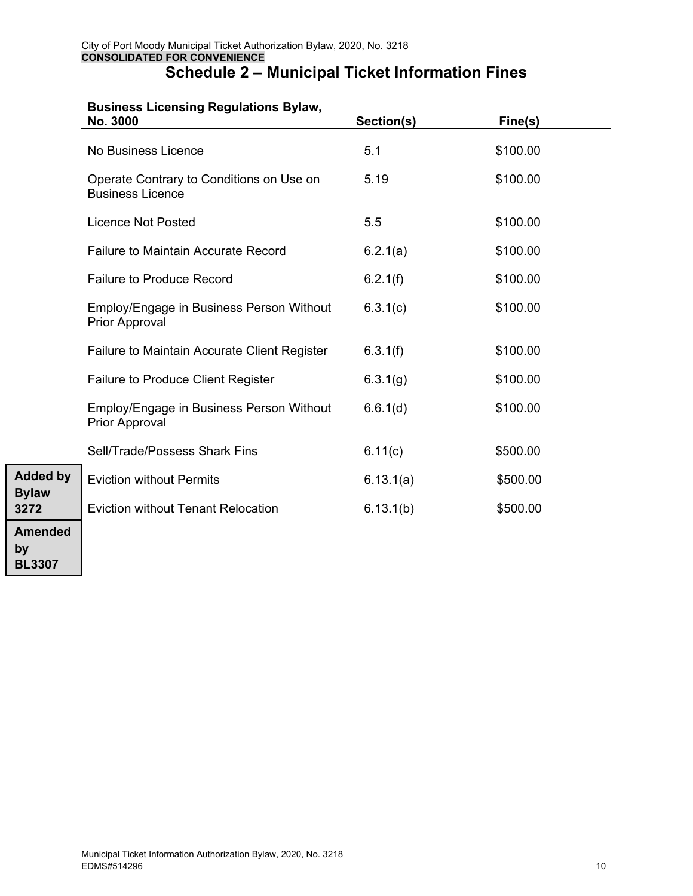#### **Business Licensing Regulations Bylaw,**

**Added by Bylaw 3272** 

**Amended** 

**by BL3307** 

| No. 3000                                                            | Section(s) | Fine(s)  |  |
|---------------------------------------------------------------------|------------|----------|--|
| No Business Licence                                                 | 5.1        | \$100.00 |  |
| Operate Contrary to Conditions on Use on<br><b>Business Licence</b> | 5.19       | \$100.00 |  |
| <b>Licence Not Posted</b>                                           | 5.5        | \$100.00 |  |
| <b>Failure to Maintain Accurate Record</b>                          | 6.2.1(a)   | \$100.00 |  |
| <b>Failure to Produce Record</b>                                    | 6.2.1(f)   | \$100.00 |  |
| Employ/Engage in Business Person Without<br><b>Prior Approval</b>   | 6.3.1(c)   | \$100.00 |  |
| <b>Failure to Maintain Accurate Client Register</b>                 | 6.3.1(f)   | \$100.00 |  |
| <b>Failure to Produce Client Register</b>                           | 6.3.1(g)   | \$100.00 |  |
| Employ/Engage in Business Person Without<br><b>Prior Approval</b>   | 6.6.1(d)   | \$100.00 |  |
| Sell/Trade/Possess Shark Fins                                       | 6.11(c)    | \$500.00 |  |
| <b>Eviction without Permits</b>                                     | 6.13.1(a)  | \$500.00 |  |
| <b>Eviction without Tenant Relocation</b>                           | 6.13.1(b)  | \$500.00 |  |
|                                                                     |            |          |  |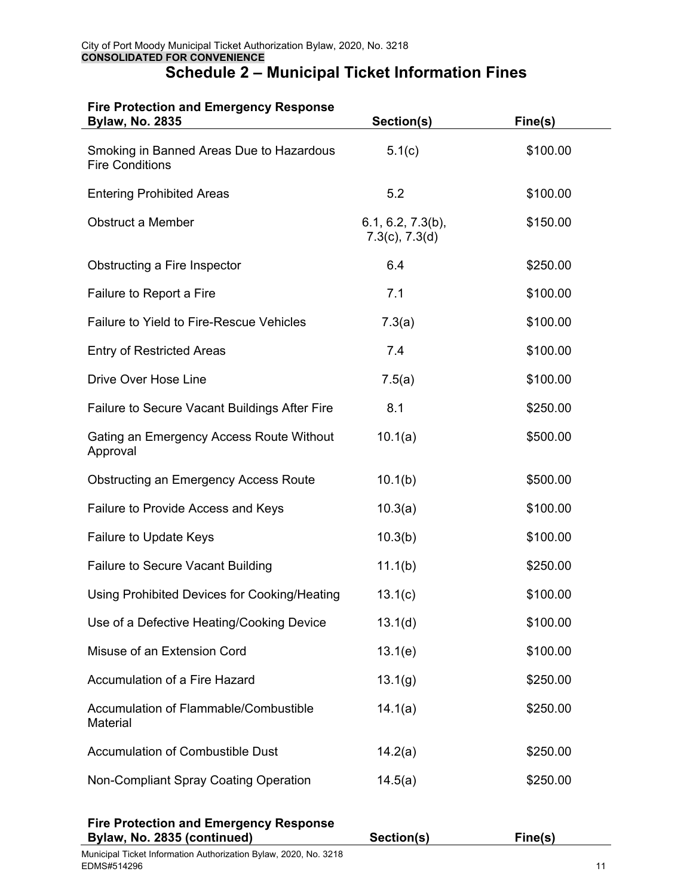#### **Fire Protection and Emergency Response**

| <b>Bylaw, No. 2835</b>                                                       | Section(s)                                  | Fine(s)  |
|------------------------------------------------------------------------------|---------------------------------------------|----------|
| Smoking in Banned Areas Due to Hazardous<br><b>Fire Conditions</b>           | 5.1(c)                                      | \$100.00 |
| <b>Entering Prohibited Areas</b>                                             | 5.2                                         | \$100.00 |
| <b>Obstruct a Member</b>                                                     | $6.1, 6.2, 7.3(b)$ ,<br>$7.3(c)$ , $7.3(d)$ | \$150.00 |
| Obstructing a Fire Inspector                                                 | 6.4                                         | \$250.00 |
| Failure to Report a Fire                                                     | 7.1                                         | \$100.00 |
| <b>Failure to Yield to Fire-Rescue Vehicles</b>                              | 7.3(a)                                      | \$100.00 |
| <b>Entry of Restricted Areas</b>                                             | 7.4                                         | \$100.00 |
| Drive Over Hose Line                                                         | 7.5(a)                                      | \$100.00 |
| <b>Failure to Secure Vacant Buildings After Fire</b>                         | 8.1                                         | \$250.00 |
| Gating an Emergency Access Route Without<br>Approval                         | 10.1(a)                                     | \$500.00 |
| <b>Obstructing an Emergency Access Route</b>                                 | 10.1(b)                                     | \$500.00 |
| Failure to Provide Access and Keys                                           | 10.3(a)                                     | \$100.00 |
| Failure to Update Keys                                                       | 10.3(b)                                     | \$100.00 |
| <b>Failure to Secure Vacant Building</b>                                     | 11.1(b)                                     | \$250.00 |
| Using Prohibited Devices for Cooking/Heating                                 | 13.1(c)                                     | \$100.00 |
| Use of a Defective Heating/Cooking Device                                    | 13.1(d)                                     | \$100.00 |
| Misuse of an Extension Cord                                                  | 13.1(e)                                     | \$100.00 |
| Accumulation of a Fire Hazard                                                | 13.1(g)                                     | \$250.00 |
| Accumulation of Flammable/Combustible<br>Material                            | 14.1(a)                                     | \$250.00 |
| <b>Accumulation of Combustible Dust</b>                                      | 14.2(a)                                     | \$250.00 |
| Non-Compliant Spray Coating Operation                                        | 14.5(a)                                     | \$250.00 |
| <b>Fire Protection and Emergency Response</b><br>Bylaw, No. 2835 (continued) | Section(s)                                  | Fine(s)  |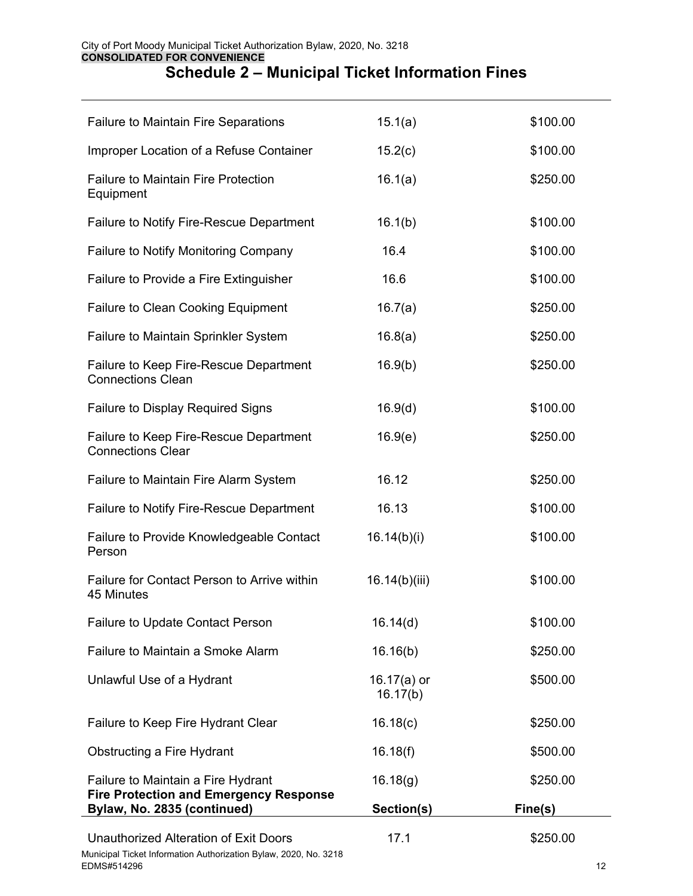| <b>Failure to Maintain Fire Separations</b>                                         | 15.1(a)                    | \$100.00 |
|-------------------------------------------------------------------------------------|----------------------------|----------|
| Improper Location of a Refuse Container                                             | 15.2(c)                    | \$100.00 |
| <b>Failure to Maintain Fire Protection</b><br>Equipment                             | 16.1(a)                    | \$250.00 |
| Failure to Notify Fire-Rescue Department                                            | 16.1(b)                    | \$100.00 |
| Failure to Notify Monitoring Company                                                | 16.4                       | \$100.00 |
| Failure to Provide a Fire Extinguisher                                              | 16.6                       | \$100.00 |
| <b>Failure to Clean Cooking Equipment</b>                                           | 16.7(a)                    | \$250.00 |
| Failure to Maintain Sprinkler System                                                | 16.8(a)                    | \$250.00 |
| Failure to Keep Fire-Rescue Department<br><b>Connections Clean</b>                  | 16.9(b)                    | \$250.00 |
| <b>Failure to Display Required Signs</b>                                            | 16.9(d)                    | \$100.00 |
| Failure to Keep Fire-Rescue Department<br><b>Connections Clear</b>                  | 16.9(e)                    | \$250.00 |
| Failure to Maintain Fire Alarm System                                               | 16.12                      | \$250.00 |
| Failure to Notify Fire-Rescue Department                                            | 16.13                      | \$100.00 |
| Failure to Provide Knowledgeable Contact<br>Person                                  | 16.14(b)(i)                | \$100.00 |
| Failure for Contact Person to Arrive within<br>45 Minutes                           | 16.14(b)(iii)              | \$100.00 |
| Failure to Update Contact Person                                                    | 16.14(d)                   | \$100.00 |
| Failure to Maintain a Smoke Alarm                                                   | 16.16(b)                   | \$250.00 |
| Unlawful Use of a Hydrant                                                           | 16.17 $(a)$ or<br>16.17(b) | \$500.00 |
| Failure to Keep Fire Hydrant Clear                                                  | 16.18(c)                   | \$250.00 |
| <b>Obstructing a Fire Hydrant</b>                                                   | 16.18(f)                   | \$500.00 |
| Failure to Maintain a Fire Hydrant<br><b>Fire Protection and Emergency Response</b> | 16.18(g)                   | \$250.00 |

Bylaw, No. 2835 (continued) **Section(s)** Section(s) **Fine(s)**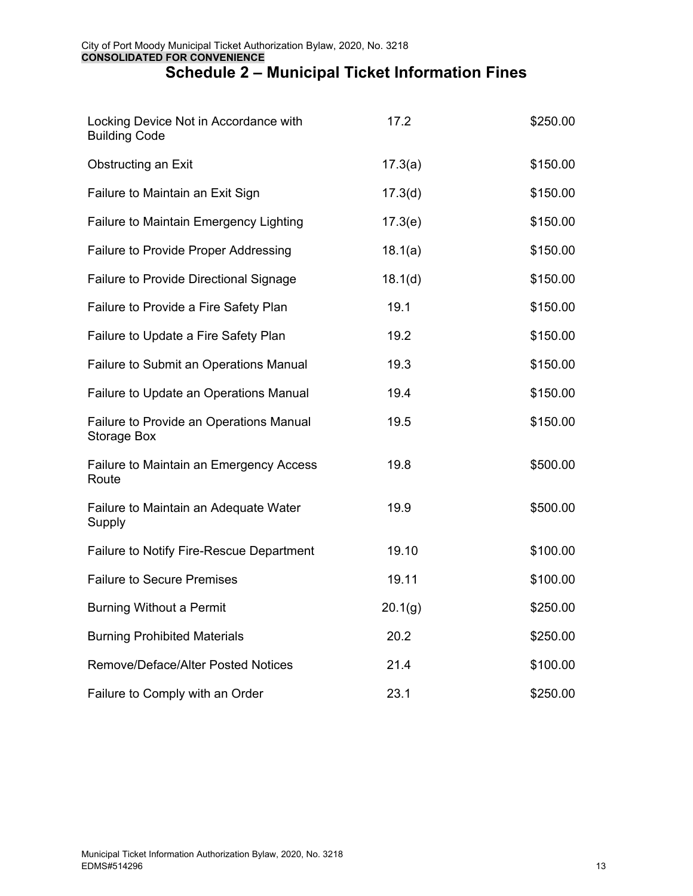| Locking Device Not in Accordance with<br><b>Building Code</b> | 17.2    | \$250.00 |
|---------------------------------------------------------------|---------|----------|
| Obstructing an Exit                                           | 17.3(a) | \$150.00 |
| Failure to Maintain an Exit Sign                              | 17.3(d) | \$150.00 |
| <b>Failure to Maintain Emergency Lighting</b>                 | 17.3(e) | \$150.00 |
| Failure to Provide Proper Addressing                          | 18.1(a) | \$150.00 |
| <b>Failure to Provide Directional Signage</b>                 | 18.1(d) | \$150.00 |
| Failure to Provide a Fire Safety Plan                         | 19.1    | \$150.00 |
| Failure to Update a Fire Safety Plan                          | 19.2    | \$150.00 |
| Failure to Submit an Operations Manual                        | 19.3    | \$150.00 |
| Failure to Update an Operations Manual                        | 19.4    | \$150.00 |
| Failure to Provide an Operations Manual<br>Storage Box        | 19.5    | \$150.00 |
| Failure to Maintain an Emergency Access<br>Route              | 19.8    | \$500.00 |
| Failure to Maintain an Adequate Water<br>Supply               | 19.9    | \$500.00 |
| Failure to Notify Fire-Rescue Department                      | 19.10   | \$100.00 |
| <b>Failure to Secure Premises</b>                             | 19.11   | \$100.00 |
| <b>Burning Without a Permit</b>                               | 20.1(g) | \$250.00 |
| <b>Burning Prohibited Materials</b>                           | 20.2    | \$250.00 |
| Remove/Deface/Alter Posted Notices                            | 21.4    | \$100.00 |
| Failure to Comply with an Order                               | 23.1    | \$250.00 |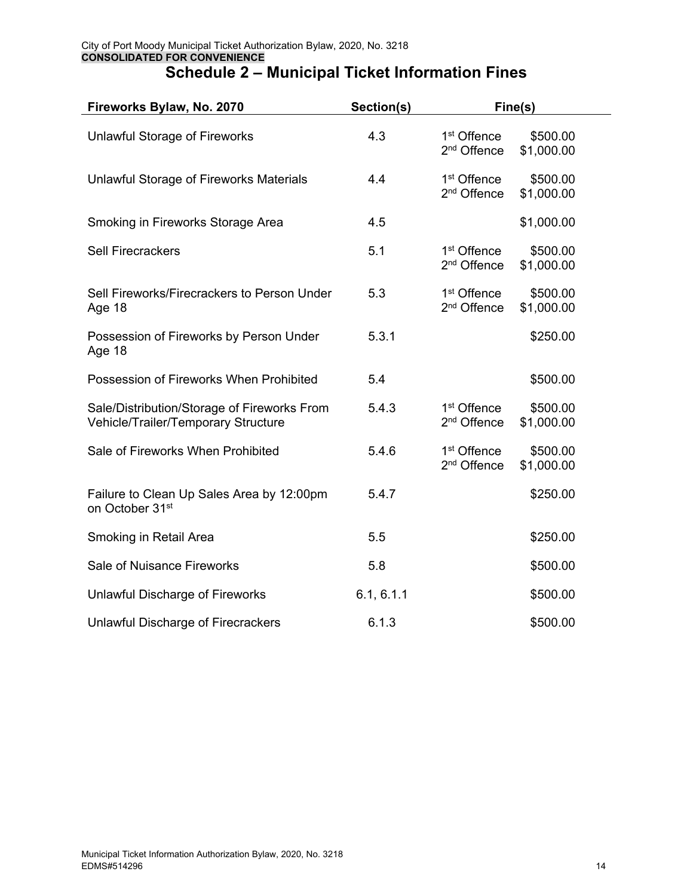| Fireworks Bylaw, No. 2070                                                          | Section(s) |                                                    | Fine(s)                |  |
|------------------------------------------------------------------------------------|------------|----------------------------------------------------|------------------------|--|
| <b>Unlawful Storage of Fireworks</b>                                               | 4.3        | 1 <sup>st</sup> Offence<br>2 <sup>nd</sup> Offence | \$500.00<br>\$1,000.00 |  |
| Unlawful Storage of Fireworks Materials                                            | 4.4        | 1 <sup>st</sup> Offence<br>2 <sup>nd</sup> Offence | \$500.00<br>\$1,000.00 |  |
| Smoking in Fireworks Storage Area                                                  | 4.5        |                                                    | \$1,000.00             |  |
| <b>Sell Firecrackers</b>                                                           | 5.1        | 1 <sup>st</sup> Offence<br>2 <sup>nd</sup> Offence | \$500.00<br>\$1,000.00 |  |
| Sell Fireworks/Firecrackers to Person Under<br>Age 18                              | 5.3        | 1 <sup>st</sup> Offence<br>2 <sup>nd</sup> Offence | \$500.00<br>\$1,000.00 |  |
| Possession of Fireworks by Person Under<br>Age 18                                  | 5.3.1      |                                                    | \$250.00               |  |
| Possession of Fireworks When Prohibited                                            | 5.4        |                                                    | \$500.00               |  |
| Sale/Distribution/Storage of Fireworks From<br>Vehicle/Trailer/Temporary Structure | 5.4.3      | 1 <sup>st</sup> Offence<br>2 <sup>nd</sup> Offence | \$500.00<br>\$1,000.00 |  |
| Sale of Fireworks When Prohibited                                                  | 5.4.6      | 1 <sup>st</sup> Offence<br>2 <sup>nd</sup> Offence | \$500.00<br>\$1,000.00 |  |
| Failure to Clean Up Sales Area by 12:00pm<br>on October 31st                       | 5.4.7      |                                                    | \$250.00               |  |
| Smoking in Retail Area                                                             | 5.5        |                                                    | \$250.00               |  |
| Sale of Nuisance Fireworks                                                         | 5.8        |                                                    | \$500.00               |  |
| <b>Unlawful Discharge of Fireworks</b>                                             | 6.1, 6.1.1 |                                                    | \$500.00               |  |
| Unlawful Discharge of Firecrackers                                                 | 6.1.3      |                                                    | \$500.00               |  |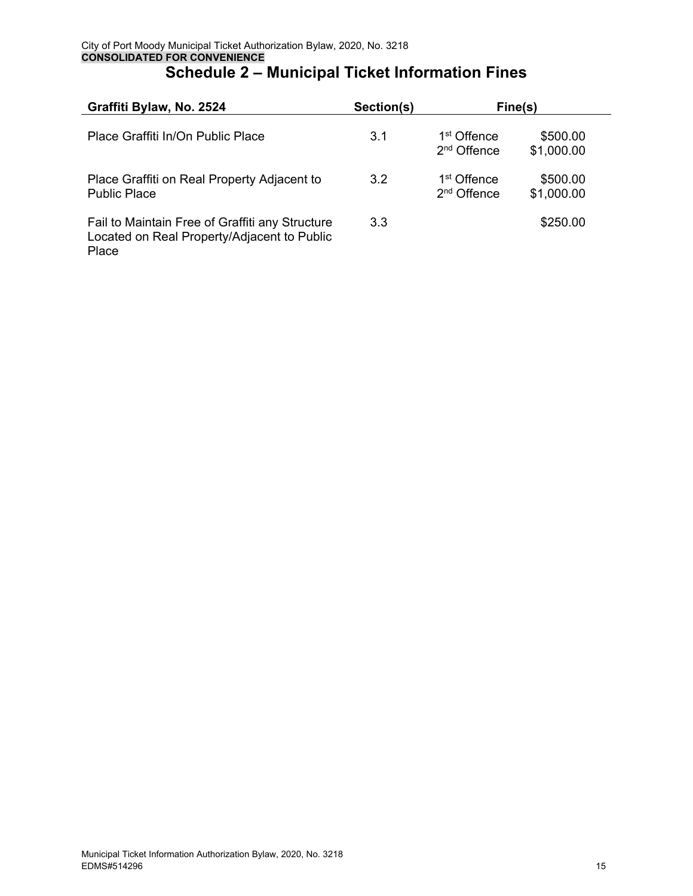| Graffiti Bylaw, No. 2524                                                                                | Section(s) |                                                    | Fine(s)                |  |
|---------------------------------------------------------------------------------------------------------|------------|----------------------------------------------------|------------------------|--|
| Place Graffiti In/On Public Place                                                                       | 3.1        | 1 <sup>st</sup> Offence<br>2 <sup>nd</sup> Offence | \$500.00<br>\$1,000.00 |  |
| Place Graffiti on Real Property Adjacent to<br><b>Public Place</b>                                      | 3.2        | 1 <sup>st</sup> Offence<br>2 <sup>nd</sup> Offence | \$500.00<br>\$1,000.00 |  |
| Fail to Maintain Free of Graffiti any Structure<br>Located on Real Property/Adjacent to Public<br>Place | 3.3        |                                                    | \$250.00               |  |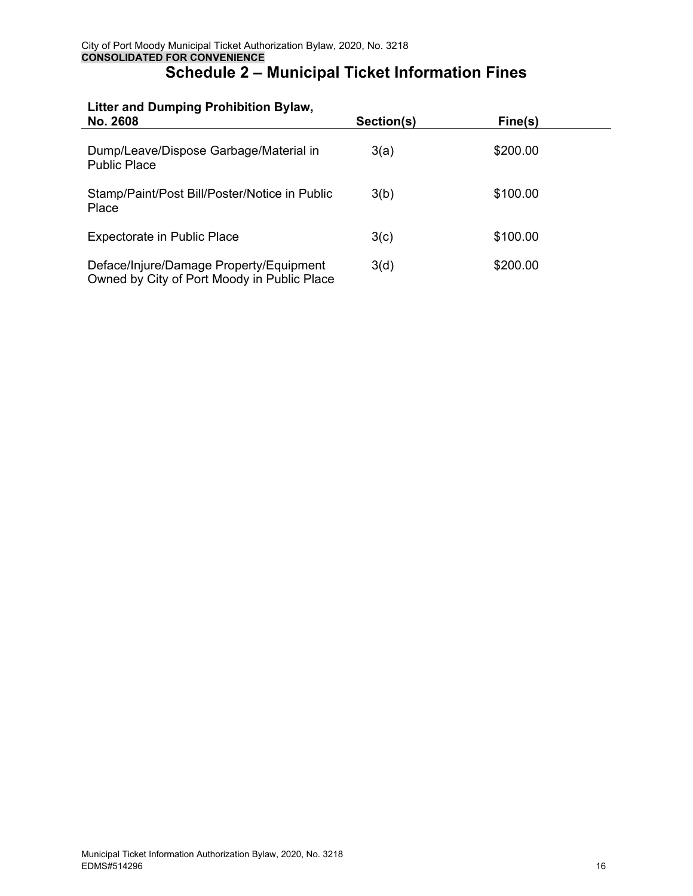# **Litter and Dumping Prohibition Bylaw,**

| No. 2608                                                                               | Section(s) | Fine(s)  |  |
|----------------------------------------------------------------------------------------|------------|----------|--|
| Dump/Leave/Dispose Garbage/Material in<br><b>Public Place</b>                          | 3(a)       | \$200.00 |  |
| Stamp/Paint/Post Bill/Poster/Notice in Public<br>Place                                 | 3(b)       | \$100.00 |  |
| <b>Expectorate in Public Place</b>                                                     | 3(c)       | \$100.00 |  |
| Deface/Injure/Damage Property/Equipment<br>Owned by City of Port Moody in Public Place | 3(d)       | \$200.00 |  |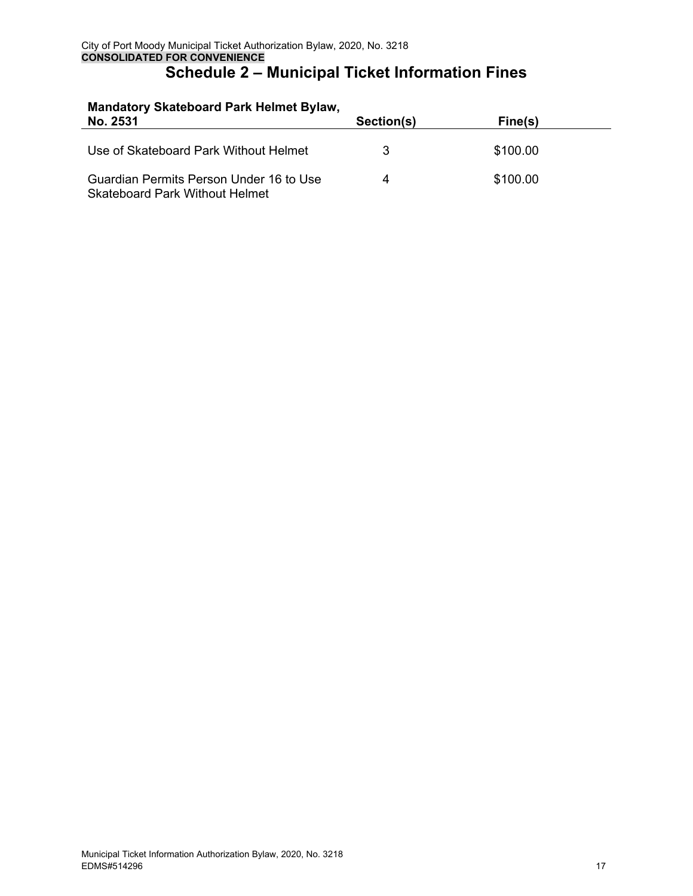# **Mandatory Skateboard Park Helmet Bylaw,**

l.

| No. 2531                                                                         | Section(s) | Fine(s)  |  |
|----------------------------------------------------------------------------------|------------|----------|--|
| Use of Skateboard Park Without Helmet                                            | 3          | \$100.00 |  |
| Guardian Permits Person Under 16 to Use<br><b>Skateboard Park Without Helmet</b> | 4          | \$100.00 |  |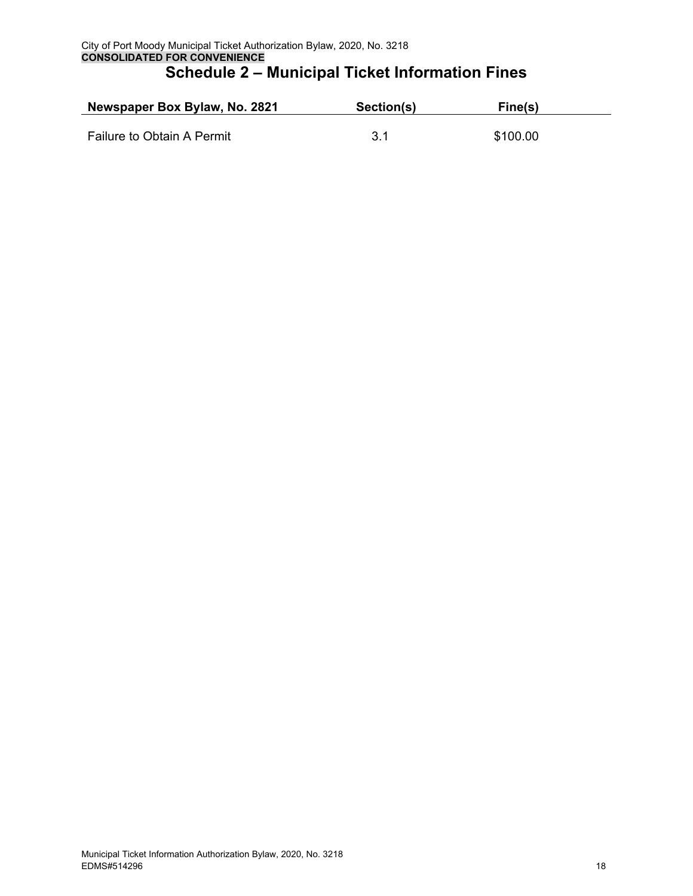| Newspaper Box Bylaw, No. 2821 | Section(s) | Fine(s)  |  |
|-------------------------------|------------|----------|--|
| Failure to Obtain A Permit    |            | \$100.00 |  |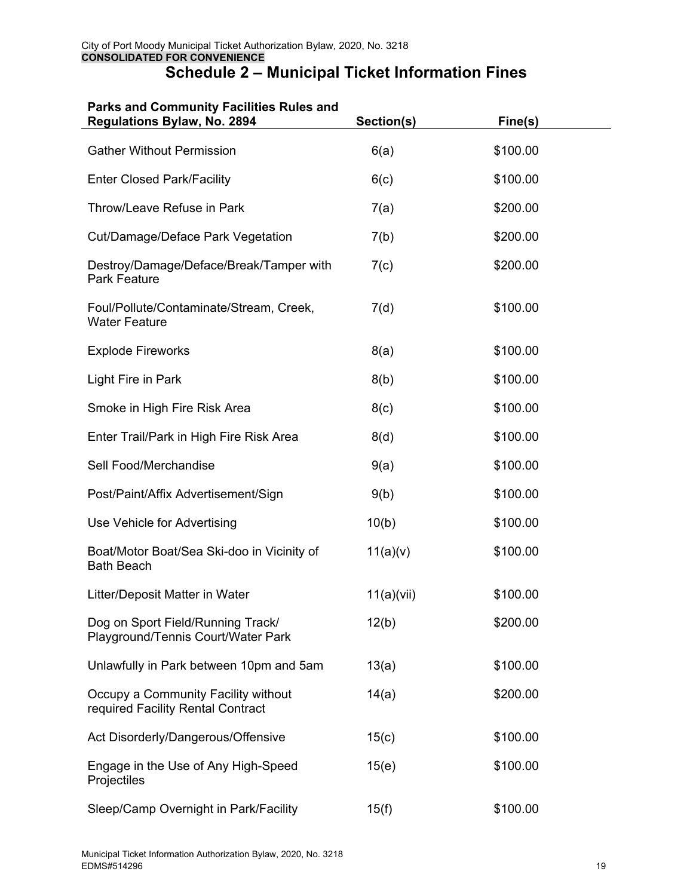| <b>Parks and Community Facilities Rules and</b><br>Regulations Bylaw, No. 2894 | Section(s) | Fine(s)  |  |
|--------------------------------------------------------------------------------|------------|----------|--|
| <b>Gather Without Permission</b>                                               | 6(a)       | \$100.00 |  |
| <b>Enter Closed Park/Facility</b>                                              | 6(c)       | \$100.00 |  |
| Throw/Leave Refuse in Park                                                     | 7(a)       | \$200.00 |  |
| Cut/Damage/Deface Park Vegetation                                              | 7(b)       | \$200.00 |  |
| Destroy/Damage/Deface/Break/Tamper with<br><b>Park Feature</b>                 | 7(c)       | \$200.00 |  |
| Foul/Pollute/Contaminate/Stream, Creek,<br><b>Water Feature</b>                | 7(d)       | \$100.00 |  |
| <b>Explode Fireworks</b>                                                       | 8(a)       | \$100.00 |  |
| Light Fire in Park                                                             | 8(b)       | \$100.00 |  |
| Smoke in High Fire Risk Area                                                   | 8(c)       | \$100.00 |  |
| Enter Trail/Park in High Fire Risk Area                                        | 8(d)       | \$100.00 |  |
| Sell Food/Merchandise                                                          | 9(a)       | \$100.00 |  |
| Post/Paint/Affix Advertisement/Sign                                            | 9(b)       | \$100.00 |  |
| Use Vehicle for Advertising                                                    | 10(b)      | \$100.00 |  |
| Boat/Motor Boat/Sea Ski-doo in Vicinity of<br><b>Bath Beach</b>                | 11(a)(v)   | \$100.00 |  |
| Litter/Deposit Matter in Water                                                 | 11(a)(vii) | \$100.00 |  |
| Dog on Sport Field/Running Track/<br>Playground/Tennis Court/Water Park        | 12(b)      | \$200.00 |  |
| Unlawfully in Park between 10pm and 5am                                        | 13(a)      | \$100.00 |  |
| Occupy a Community Facility without<br>required Facility Rental Contract       | 14(a)      | \$200.00 |  |
| Act Disorderly/Dangerous/Offensive                                             | 15(c)      | \$100.00 |  |
| Engage in the Use of Any High-Speed<br>Projectiles                             | 15(e)      | \$100.00 |  |
| Sleep/Camp Overnight in Park/Facility                                          | 15(f)      | \$100.00 |  |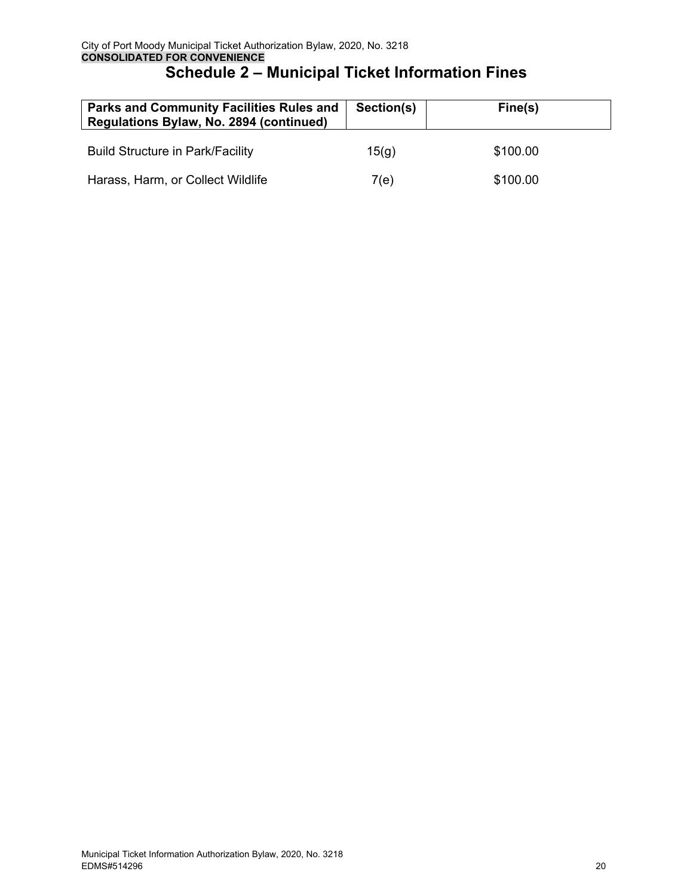| <b>Parks and Community Facilities Rules and</b><br>Regulations Bylaw, No. 2894 (continued) | Section(s) | Fine(s)  |
|--------------------------------------------------------------------------------------------|------------|----------|
| <b>Build Structure in Park/Facility</b>                                                    | 15(q)      | \$100.00 |
| Harass, Harm, or Collect Wildlife                                                          | 7(e)       | \$100.00 |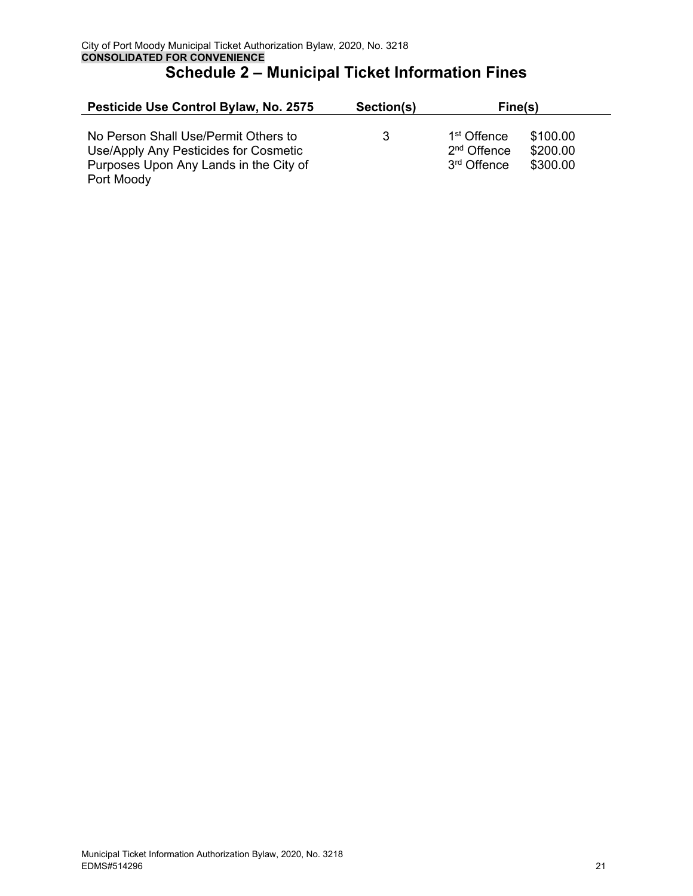| Pesticide Use Control Bylaw, No. 2575                                                                                                 | Section(s)                                                               | Fine(s)                          |
|---------------------------------------------------------------------------------------------------------------------------------------|--------------------------------------------------------------------------|----------------------------------|
| No Person Shall Use/Permit Others to<br>Use/Apply Any Pesticides for Cosmetic<br>Purposes Upon Any Lands in the City of<br>Port Moody | 1 <sup>st</sup> Offence<br>3<br>$2nd$ Offence<br>3 <sup>rd</sup> Offence | \$100.00<br>\$200.00<br>\$300.00 |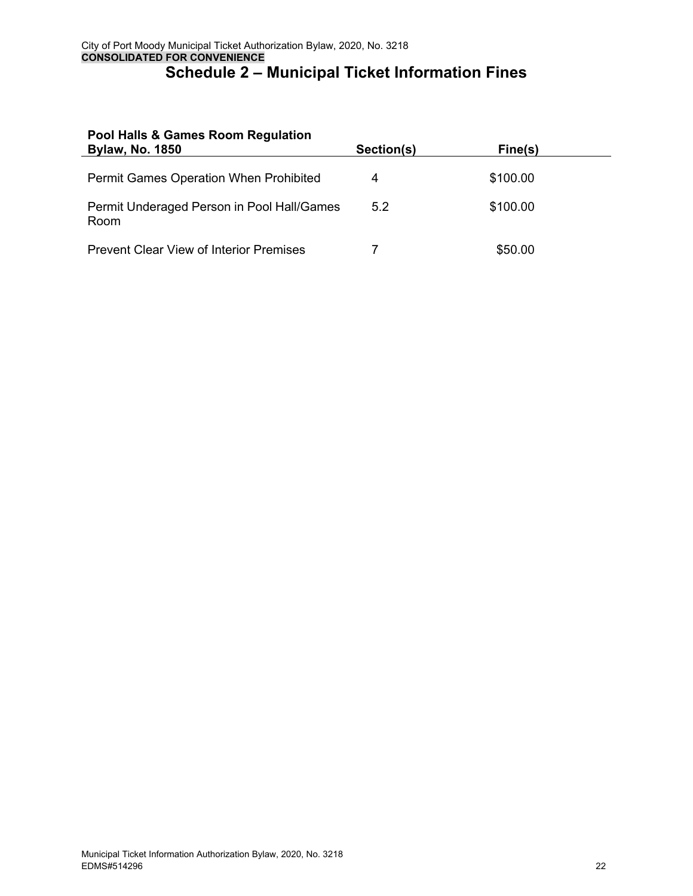| Pool Halls & Games Room Regulation<br><b>Bylaw, No. 1850</b> | Section(s) | Fine(s)  |  |
|--------------------------------------------------------------|------------|----------|--|
| <b>Permit Games Operation When Prohibited</b>                | 4          | \$100.00 |  |
| Permit Underaged Person in Pool Hall/Games<br>Room           | 5.2        | \$100.00 |  |
| <b>Prevent Clear View of Interior Premises</b>               |            | \$50.00  |  |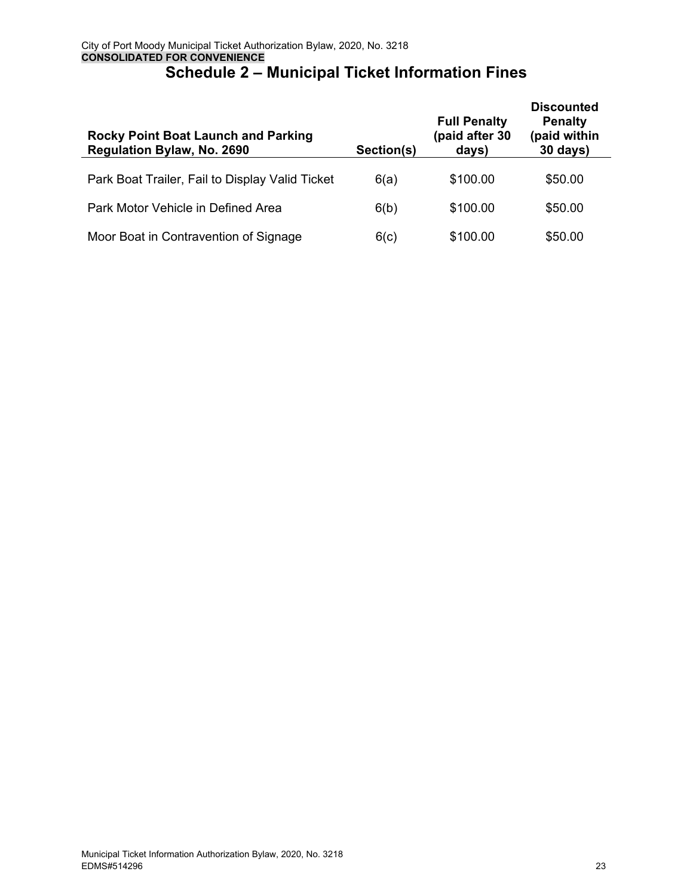| <b>Rocky Point Boat Launch and Parking</b><br>Regulation Bylaw, No. 2690 | Section(s) | <b>Full Penalty</b><br>(paid after 30<br>days) | <b>Discounted</b><br><b>Penalty</b><br>(paid within<br>30 days) |
|--------------------------------------------------------------------------|------------|------------------------------------------------|-----------------------------------------------------------------|
| Park Boat Trailer, Fail to Display Valid Ticket                          | 6(a)       | \$100.00                                       | \$50.00                                                         |
| Park Motor Vehicle in Defined Area                                       | 6(b)       | \$100.00                                       | \$50.00                                                         |
| Moor Boat in Contravention of Signage                                    | 6(c)       | \$100.00                                       | \$50.00                                                         |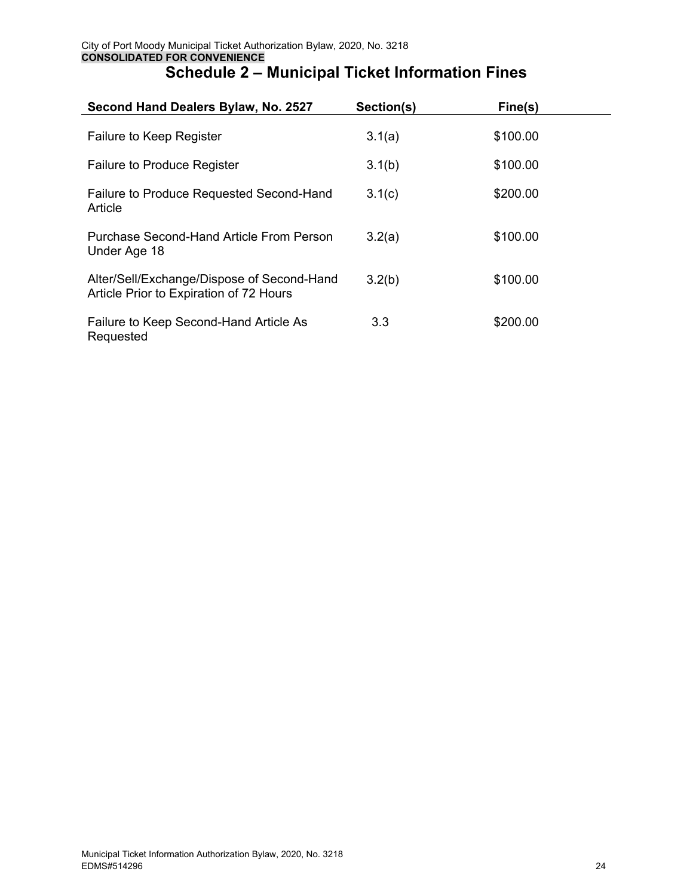|  |  | <b>Schedule 2 – Municipal Ticket Information Fines</b> |  |
|--|--|--------------------------------------------------------|--|
|--|--|--------------------------------------------------------|--|

| Second Hand Dealers Bylaw, No. 2527                                                   | Section(s) | Fine(s)  |
|---------------------------------------------------------------------------------------|------------|----------|
| Failure to Keep Register                                                              | 3.1(a)     | \$100.00 |
| <b>Failure to Produce Register</b>                                                    | 3.1(b)     | \$100.00 |
| <b>Failure to Produce Requested Second-Hand</b><br>Article                            | 3.1(c)     | \$200.00 |
| Purchase Second-Hand Article From Person<br>Under Age 18                              | 3.2(a)     | \$100.00 |
| Alter/Sell/Exchange/Dispose of Second-Hand<br>Article Prior to Expiration of 72 Hours | 3.2(b)     | \$100.00 |
| Failure to Keep Second-Hand Article As<br>Requested                                   | 3.3        | \$200.00 |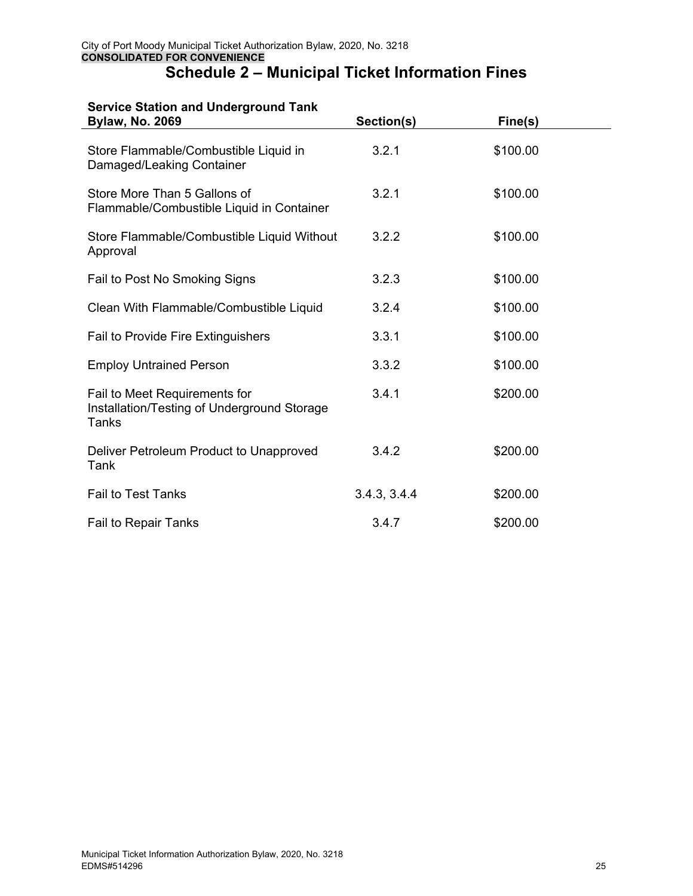#### **Service Station and Underground Tank**

| <b>Bylaw, No. 2069</b>                                                                       | Section(s)   | Fine(s)  |  |
|----------------------------------------------------------------------------------------------|--------------|----------|--|
| Store Flammable/Combustible Liquid in<br>Damaged/Leaking Container                           | 3.2.1        | \$100.00 |  |
| Store More Than 5 Gallons of<br>Flammable/Combustible Liquid in Container                    | 3.2.1        | \$100.00 |  |
| Store Flammable/Combustible Liquid Without<br>Approval                                       | 3.2.2        | \$100.00 |  |
| Fail to Post No Smoking Signs                                                                | 3.2.3        | \$100.00 |  |
| Clean With Flammable/Combustible Liquid                                                      | 3.2.4        | \$100.00 |  |
| Fail to Provide Fire Extinguishers                                                           | 3.3.1        | \$100.00 |  |
| <b>Employ Untrained Person</b>                                                               | 3.3.2        | \$100.00 |  |
| Fail to Meet Requirements for<br>Installation/Testing of Underground Storage<br><b>Tanks</b> | 3.4.1        | \$200.00 |  |
| Deliver Petroleum Product to Unapproved<br>Tank                                              | 3.4.2        | \$200.00 |  |
| <b>Fail to Test Tanks</b>                                                                    | 3.4.3, 3.4.4 | \$200.00 |  |
| Fail to Repair Tanks                                                                         | 3.4.7        | \$200.00 |  |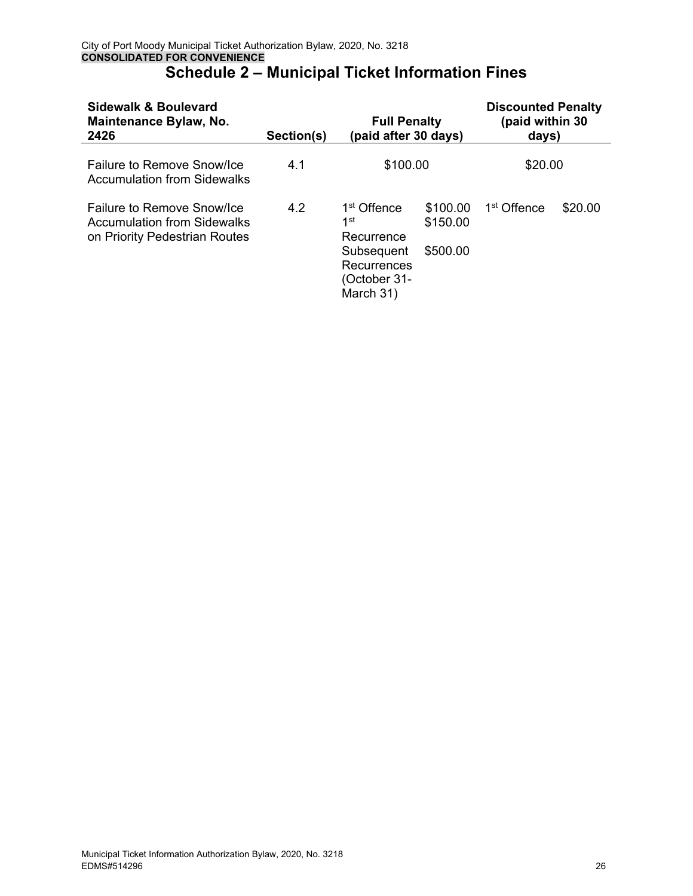| Sidewalk & Boulevard<br>Maintenance Bylaw, No.<br>2426                                     | Section(s) | <b>Full Penalty</b><br>(paid after 30 days)                                                            |                                  | <b>Discounted Penalty</b><br>(paid within 30<br>days) |         |
|--------------------------------------------------------------------------------------------|------------|--------------------------------------------------------------------------------------------------------|----------------------------------|-------------------------------------------------------|---------|
| Failure to Remove Snow/Ice<br><b>Accumulation from Sidewalks</b>                           | 4.1        | \$100.00                                                                                               |                                  | \$20.00                                               |         |
| Failure to Remove Snow/Ice<br>Accumulation from Sidewalks<br>on Priority Pedestrian Routes | 4.2        | 1 <sup>st</sup> Offence<br>1st<br>Recurrence<br>Subsequent<br>Recurrences<br>(October 31-<br>March 31) | \$100.00<br>\$150.00<br>\$500.00 | 1 <sup>st</sup> Offence                               | \$20.00 |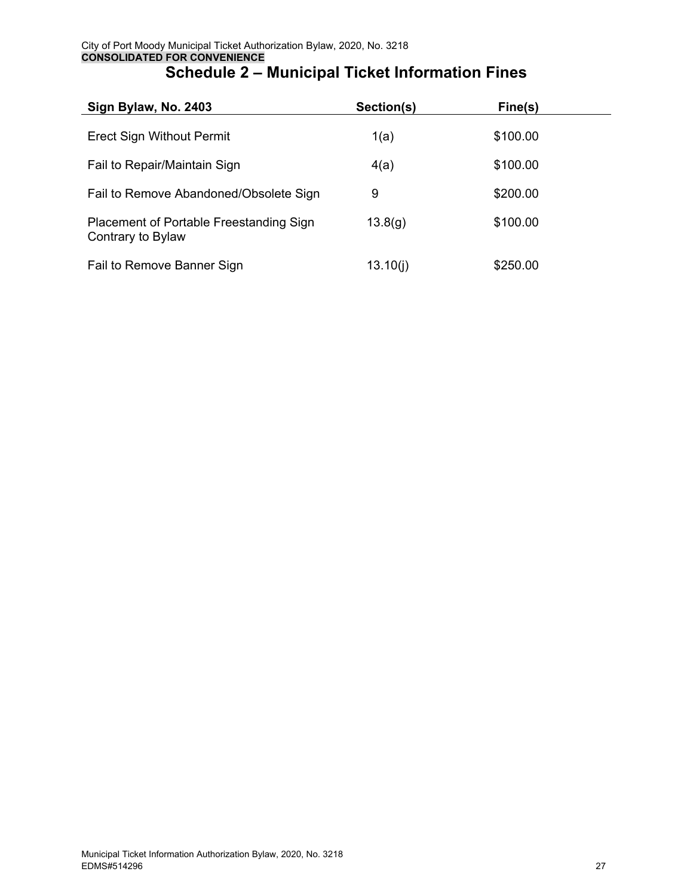| Sign Bylaw, No. 2403                                         | Section(s) | Fine(s)  |  |
|--------------------------------------------------------------|------------|----------|--|
| <b>Erect Sign Without Permit</b>                             | 1(a)       | \$100.00 |  |
| Fail to Repair/Maintain Sign                                 | 4(a)       | \$100.00 |  |
| Fail to Remove Abandoned/Obsolete Sign                       | 9          | \$200.00 |  |
| Placement of Portable Freestanding Sign<br>Contrary to Bylaw | 13.8(g)    | \$100.00 |  |
| Fail to Remove Banner Sign                                   | 13.10(i)   | \$250.00 |  |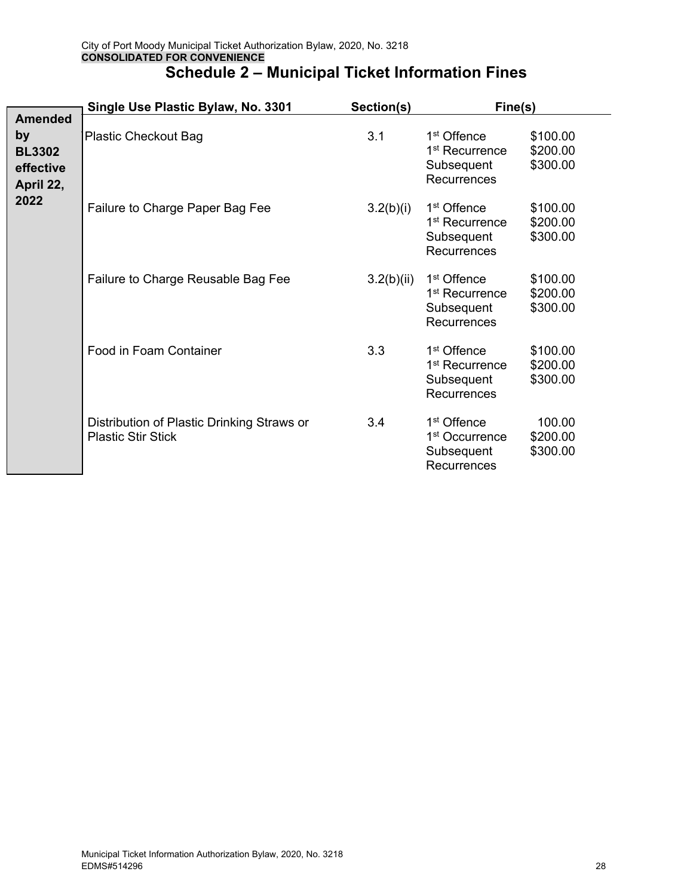|                                               | Single Use Plastic Bylaw, No. 3301                                      | Section(s) | Fine(s)                                                                            |                                  |
|-----------------------------------------------|-------------------------------------------------------------------------|------------|------------------------------------------------------------------------------------|----------------------------------|
| <b>Amended</b>                                |                                                                         |            |                                                                                    |                                  |
| by<br><b>BL3302</b><br>effective<br>April 22, | <b>Plastic Checkout Bag</b>                                             | 3.1        | 1 <sup>st</sup> Offence<br>1 <sup>st</sup> Recurrence<br>Subsequent<br>Recurrences | \$100.00<br>\$200.00<br>\$300.00 |
| 2022                                          | Failure to Charge Paper Bag Fee                                         | 3.2(b)(i)  | 1 <sup>st</sup> Offence<br>1 <sup>st</sup> Recurrence<br>Subsequent<br>Recurrences | \$100.00<br>\$200.00<br>\$300.00 |
|                                               | Failure to Charge Reusable Bag Fee                                      | 3.2(b)(ii) | 1 <sup>st</sup> Offence<br>1 <sup>st</sup> Recurrence<br>Subsequent<br>Recurrences | \$100.00<br>\$200.00<br>\$300.00 |
|                                               | Food in Foam Container                                                  | 3.3        | 1 <sup>st</sup> Offence<br>1 <sup>st</sup> Recurrence<br>Subsequent<br>Recurrences | \$100.00<br>\$200.00<br>\$300.00 |
|                                               | Distribution of Plastic Drinking Straws or<br><b>Plastic Stir Stick</b> | 3.4        | 1 <sup>st</sup> Offence<br>1 <sup>st</sup> Occurrence<br>Subsequent<br>Recurrences | 100.00<br>\$200.00<br>\$300.00   |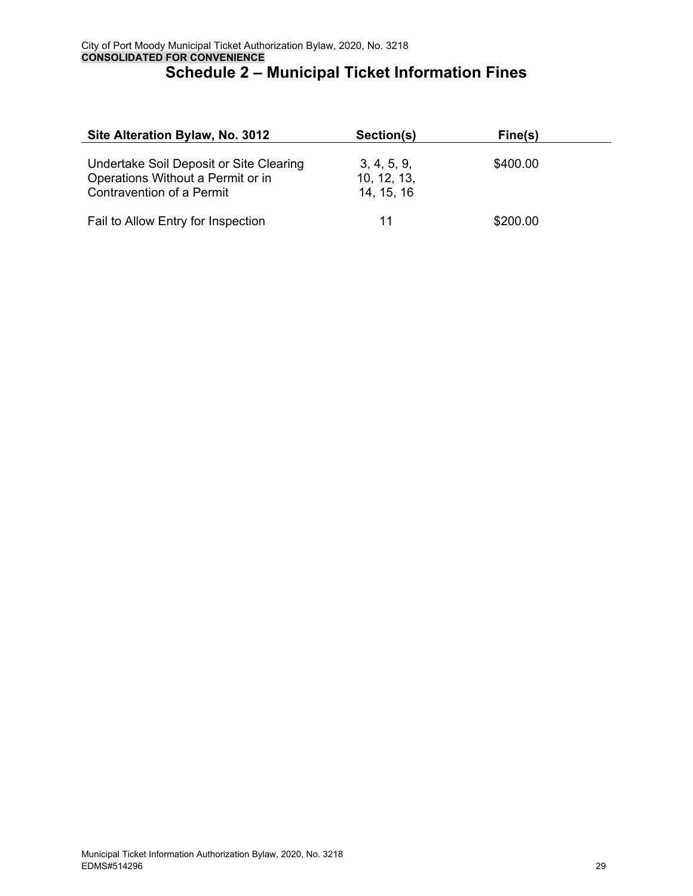| Site Alteration Bylaw, No. 3012                                                                           | Section(s)                               | Fine(s)  |  |
|-----------------------------------------------------------------------------------------------------------|------------------------------------------|----------|--|
| Undertake Soil Deposit or Site Clearing<br>Operations Without a Permit or in<br>Contravention of a Permit | 3, 4, 5, 9,<br>10, 12, 13,<br>14, 15, 16 | \$400.00 |  |
| Fail to Allow Entry for Inspection                                                                        | 11                                       | \$200.00 |  |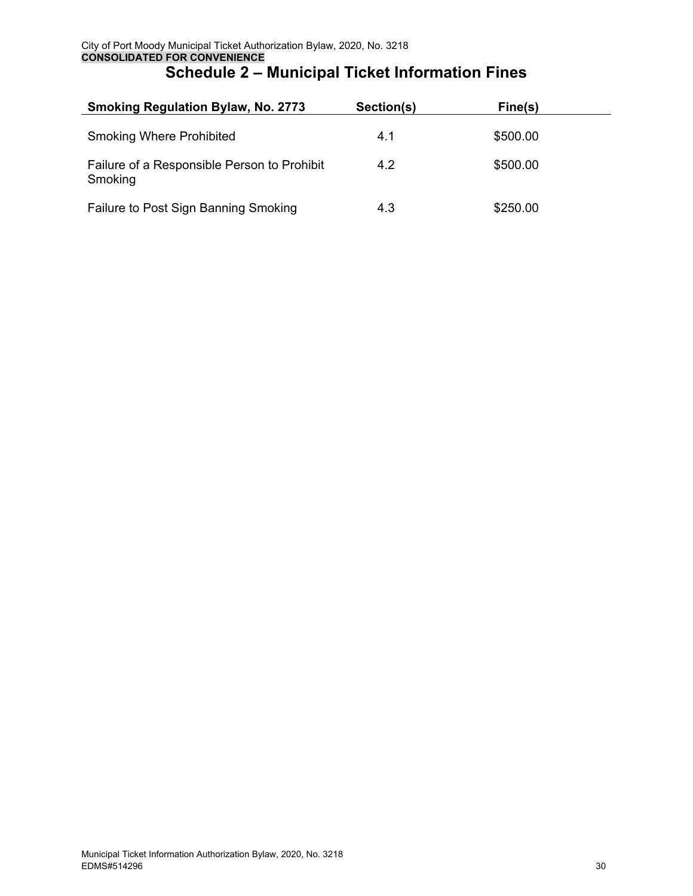| <b>Smoking Regulation Bylaw, No. 2773</b>              | Section(s) | Fine(s)  |  |
|--------------------------------------------------------|------------|----------|--|
| <b>Smoking Where Prohibited</b>                        | 4.1        | \$500.00 |  |
| Failure of a Responsible Person to Prohibit<br>Smoking | 4.2        | \$500.00 |  |
| Failure to Post Sign Banning Smoking                   | 4.3        | \$250.00 |  |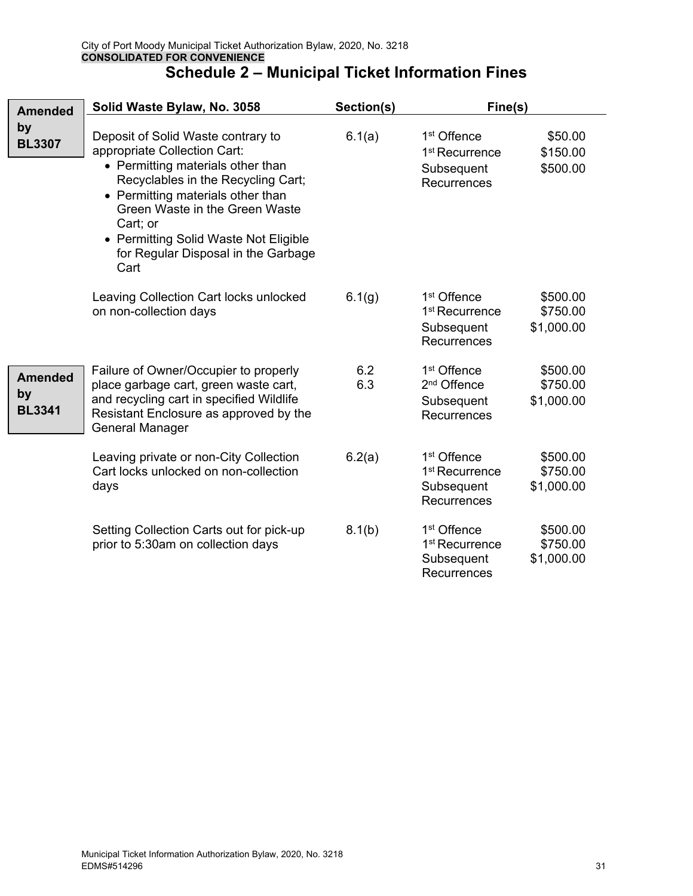| <b>Amended</b>                        | Solid Waste Bylaw, No. 3058                                                                                                                                                                                                                                                                                              | Section(s) | Fine(s)                                                                                              |                                 |
|---------------------------------------|--------------------------------------------------------------------------------------------------------------------------------------------------------------------------------------------------------------------------------------------------------------------------------------------------------------------------|------------|------------------------------------------------------------------------------------------------------|---------------------------------|
| by<br><b>BL3307</b>                   | Deposit of Solid Waste contrary to<br>appropriate Collection Cart:<br>• Permitting materials other than<br>Recyclables in the Recycling Cart;<br>• Permitting materials other than<br>Green Waste in the Green Waste<br>Cart; or<br>• Permitting Solid Waste Not Eligible<br>for Regular Disposal in the Garbage<br>Cart | 6.1(a)     | 1 <sup>st</sup> Offence<br>1 <sup>st</sup> Recurrence<br>Subsequent<br>Recurrences                   | \$50.00<br>\$150.00<br>\$500.00 |
|                                       | Leaving Collection Cart locks unlocked<br>on non-collection days                                                                                                                                                                                                                                                         | 6.1(g)     | 1 <sup>st</sup> Offence<br>1 <sup>st</sup> Recurrence<br>\$1,000.00<br>Subsequent<br>Recurrences     | \$500.00<br>\$750.00            |
| <b>Amended</b><br>by<br><b>BL3341</b> | Failure of Owner/Occupier to properly<br>place garbage cart, green waste cart,<br>and recycling cart in specified Wildlife<br>Resistant Enclosure as approved by the<br><b>General Manager</b>                                                                                                                           | 6.2<br>6.3 | 1 <sup>st</sup> Offence<br>2 <sup>nd</sup> Offence<br>\$1,000.00<br>Subsequent<br><b>Recurrences</b> | \$500.00<br>\$750.00            |
|                                       | Leaving private or non-City Collection<br>Cart locks unlocked on non-collection<br>days                                                                                                                                                                                                                                  | 6.2(a)     | 1 <sup>st</sup> Offence<br>1 <sup>st</sup> Recurrence<br>\$1,000.00<br>Subsequent<br>Recurrences     | \$500.00<br>\$750.00            |
|                                       | Setting Collection Carts out for pick-up<br>prior to 5:30am on collection days                                                                                                                                                                                                                                           | 8.1(b)     | 1 <sup>st</sup> Offence<br>1 <sup>st</sup> Recurrence<br>Subsequent<br>\$1,000.00<br>Recurrences     | \$500.00<br>\$750.00            |

 $\overline{\phantom{0}}$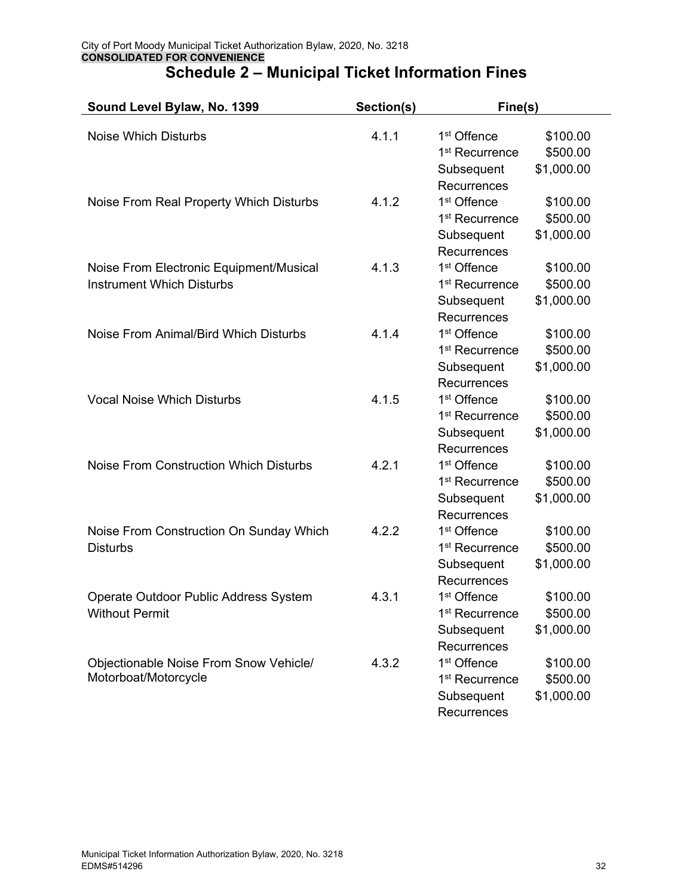| Sound Level Bylaw, No. 1399                   | Section(s) | Fine(s)                    |                      |
|-----------------------------------------------|------------|----------------------------|----------------------|
| <b>Noise Which Disturbs</b>                   | 4.1.1      | 1 <sup>st</sup> Offence    |                      |
|                                               |            | 1 <sup>st</sup> Recurrence | \$100.00<br>\$500.00 |
|                                               |            | Subsequent                 | \$1,000.00           |
|                                               |            | Recurrences                |                      |
| Noise From Real Property Which Disturbs       | 4.1.2      | 1 <sup>st</sup> Offence    | \$100.00             |
|                                               |            | 1 <sup>st</sup> Recurrence | \$500.00             |
|                                               |            | Subsequent                 | \$1,000.00           |
|                                               |            | Recurrences                |                      |
| Noise From Electronic Equipment/Musical       | 4.1.3      | 1 <sup>st</sup> Offence    | \$100.00             |
| <b>Instrument Which Disturbs</b>              |            | 1 <sup>st</sup> Recurrence | \$500.00             |
|                                               |            | Subsequent                 | \$1,000.00           |
|                                               |            | Recurrences                |                      |
| Noise From Animal/Bird Which Disturbs         | 4.1.4      | 1 <sup>st</sup> Offence    | \$100.00             |
|                                               |            | 1 <sup>st</sup> Recurrence | \$500.00             |
|                                               |            | Subsequent                 | \$1,000.00           |
|                                               |            | Recurrences                |                      |
| <b>Vocal Noise Which Disturbs</b>             | 4.1.5      | 1 <sup>st</sup> Offence    | \$100.00             |
|                                               |            | 1 <sup>st</sup> Recurrence | \$500.00             |
|                                               |            | Subsequent                 | \$1,000.00           |
|                                               |            | Recurrences                |                      |
| <b>Noise From Construction Which Disturbs</b> | 4.2.1      | 1 <sup>st</sup> Offence    | \$100.00             |
|                                               |            | 1 <sup>st</sup> Recurrence | \$500.00             |
|                                               |            | Subsequent                 | \$1,000.00           |
|                                               |            | Recurrences                |                      |
| Noise From Construction On Sunday Which       | 4.2.2      | 1 <sup>st</sup> Offence    | \$100.00             |
| <b>Disturbs</b>                               |            | 1 <sup>st</sup> Recurrence | \$500.00             |
|                                               |            | Subsequent                 | \$1,000.00           |
|                                               |            | Recurrences                |                      |
| Operate Outdoor Public Address System         | 4.3.1      | 1 <sup>st</sup> Offence    | \$100.00             |
| <b>Without Permit</b>                         |            | 1 <sup>st</sup> Recurrence | \$500.00             |
|                                               |            | Subsequent                 | \$1,000.00           |
|                                               |            | Recurrences                |                      |
| Objectionable Noise From Snow Vehicle/        | 4.3.2      | 1 <sup>st</sup> Offence    | \$100.00             |
| Motorboat/Motorcycle                          |            | 1 <sup>st</sup> Recurrence | \$500.00             |
|                                               |            | Subsequent                 | \$1,000.00           |
|                                               |            | Recurrences                |                      |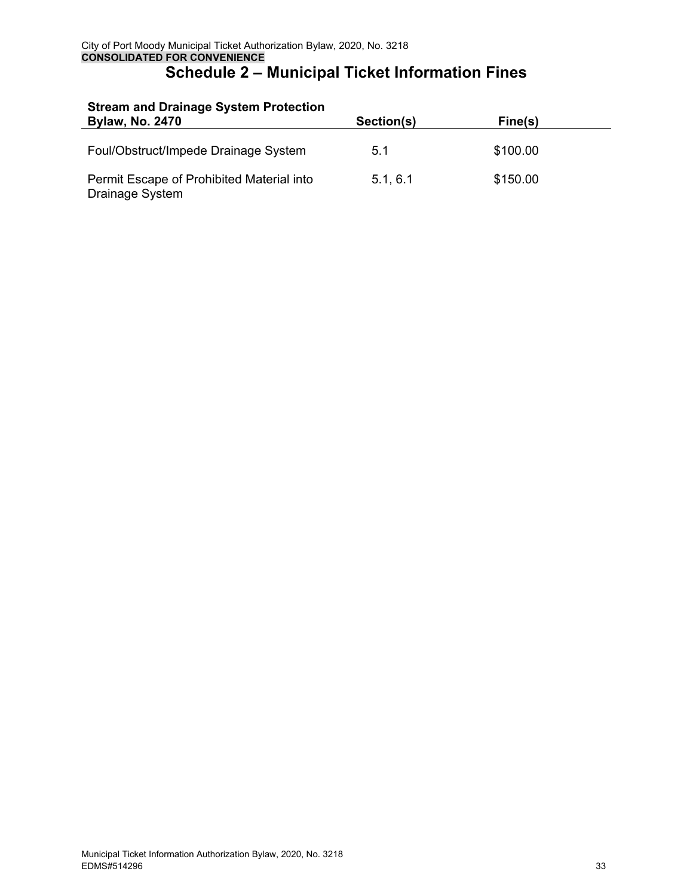| Stream and Dramage System Protection<br><b>Bylaw, No. 2470</b> | Section(s) | Fine(s)  |  |
|----------------------------------------------------------------|------------|----------|--|
| Foul/Obstruct/Impede Drainage System                           | 5.1        | \$100.00 |  |
| Permit Escape of Prohibited Material into<br>Drainage System   | 5.1, 6.1   | \$150.00 |  |

# **Stream and Drainage System Protection**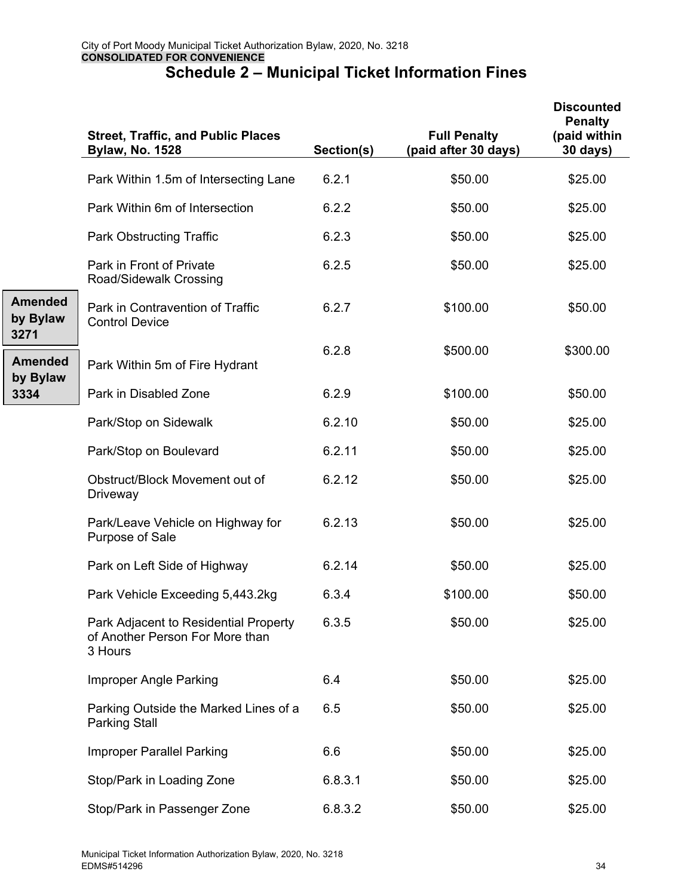|                                    | <b>Street, Traffic, and Public Places</b><br><b>Bylaw, No. 1528</b>                 | Section(s) | <b>Full Penalty</b><br>(paid after 30 days) | <b>Discounted</b><br><b>Penalty</b><br>(paid within<br><b>30 days)</b> |
|------------------------------------|-------------------------------------------------------------------------------------|------------|---------------------------------------------|------------------------------------------------------------------------|
|                                    | Park Within 1.5m of Intersecting Lane                                               | 6.2.1      | \$50.00                                     | \$25.00                                                                |
|                                    | Park Within 6m of Intersection                                                      | 6.2.2      | \$50.00                                     | \$25.00                                                                |
|                                    | <b>Park Obstructing Traffic</b>                                                     | 6.2.3      | \$50.00                                     | \$25.00                                                                |
|                                    | Park in Front of Private<br>Road/Sidewalk Crossing                                  | 6.2.5      | \$50.00                                     | \$25.00                                                                |
| <b>Amended</b><br>by Bylaw<br>3271 | Park in Contravention of Traffic<br><b>Control Device</b>                           | 6.2.7      | \$100.00                                    | \$50.00                                                                |
| <b>Amended</b><br>by Bylaw         | Park Within 5m of Fire Hydrant                                                      | 6.2.8      | \$500.00                                    | \$300.00                                                               |
| 3334                               | Park in Disabled Zone                                                               | 6.2.9      | \$100.00                                    | \$50.00                                                                |
|                                    | Park/Stop on Sidewalk                                                               | 6.2.10     | \$50.00                                     | \$25.00                                                                |
|                                    | Park/Stop on Boulevard                                                              | 6.2.11     | \$50.00                                     | \$25.00                                                                |
|                                    | Obstruct/Block Movement out of<br>Driveway                                          | 6.2.12     | \$50.00                                     | \$25.00                                                                |
|                                    | Park/Leave Vehicle on Highway for<br>Purpose of Sale                                | 6.2.13     | \$50.00                                     | \$25.00                                                                |
|                                    | Park on Left Side of Highway                                                        | 6.2.14     | \$50.00                                     | \$25.00                                                                |
|                                    | Park Vehicle Exceeding 5,443.2kg                                                    | 6.3.4      | \$100.00                                    | \$50.00                                                                |
|                                    | Park Adjacent to Residential Property<br>of Another Person For More than<br>3 Hours | 6.3.5      | \$50.00                                     | \$25.00                                                                |
|                                    | Improper Angle Parking                                                              | 6.4        | \$50.00                                     | \$25.00                                                                |
|                                    | Parking Outside the Marked Lines of a<br><b>Parking Stall</b>                       | 6.5        | \$50.00                                     | \$25.00                                                                |
|                                    | <b>Improper Parallel Parking</b>                                                    | 6.6        | \$50.00                                     | \$25.00                                                                |
|                                    | Stop/Park in Loading Zone                                                           | 6.8.3.1    | \$50.00                                     | \$25.00                                                                |
|                                    | Stop/Park in Passenger Zone                                                         | 6.8.3.2    | \$50.00                                     | \$25.00                                                                |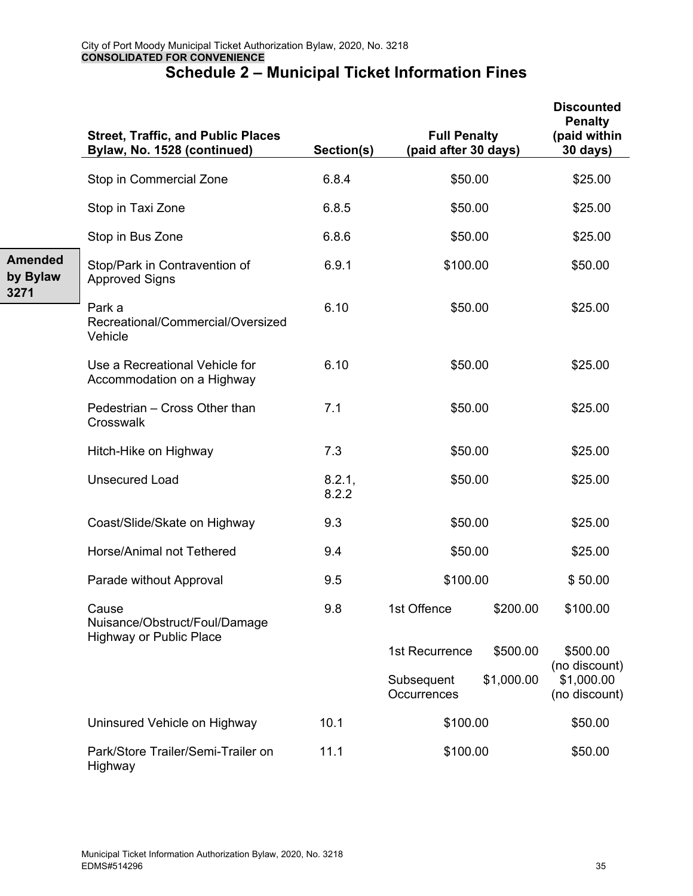|                                    | <b>Street, Traffic, and Public Places</b><br>Bylaw, No. 1528 (continued) | Section(s)      | <b>Full Penalty</b><br>(paid after 30 days) |            | <b>Discounted</b><br><b>Penalty</b><br>(paid within<br><b>30 days)</b> |
|------------------------------------|--------------------------------------------------------------------------|-----------------|---------------------------------------------|------------|------------------------------------------------------------------------|
|                                    | Stop in Commercial Zone                                                  | 6.8.4           | \$50.00                                     |            | \$25.00                                                                |
|                                    | Stop in Taxi Zone                                                        | 6.8.5           | \$50.00                                     |            | \$25.00                                                                |
|                                    | Stop in Bus Zone                                                         | 6.8.6           | \$50.00                                     |            | \$25.00                                                                |
| <b>Amended</b><br>by Bylaw<br>3271 | Stop/Park in Contravention of<br><b>Approved Signs</b>                   | 6.9.1           | \$100.00                                    |            | \$50.00                                                                |
|                                    | Park a<br>Recreational/Commercial/Oversized<br>Vehicle                   | 6.10            | \$50.00                                     |            | \$25.00                                                                |
|                                    | Use a Recreational Vehicle for<br>Accommodation on a Highway             | 6.10            | \$50.00                                     |            | \$25.00                                                                |
|                                    | Pedestrian - Cross Other than<br>Crosswalk                               | 7.1             | \$50.00                                     |            | \$25.00                                                                |
|                                    | Hitch-Hike on Highway                                                    | 7.3             | \$50.00                                     |            | \$25.00                                                                |
|                                    | <b>Unsecured Load</b>                                                    | 8.2.1,<br>8.2.2 | \$50.00                                     |            | \$25.00                                                                |
|                                    | Coast/Slide/Skate on Highway                                             | 9.3             | \$50.00                                     |            | \$25.00                                                                |
|                                    | Horse/Animal not Tethered                                                | 9.4             | \$50.00                                     |            | \$25.00                                                                |
|                                    | Parade without Approval                                                  | 9.5             | \$100.00                                    |            | \$50.00                                                                |
|                                    | Cause<br>Nuisance/Obstruct/Foul/Damage<br><b>Highway or Public Place</b> | 9.8             | 1st Offence                                 | \$200.00   | \$100.00                                                               |
|                                    |                                                                          |                 | 1st Recurrence                              | \$500.00   | \$500.00                                                               |
|                                    |                                                                          |                 | Subsequent<br>Occurrences                   | \$1,000.00 | (no discount)<br>\$1,000.00<br>(no discount)                           |
|                                    | Uninsured Vehicle on Highway                                             | 10.1            | \$100.00                                    |            | \$50.00                                                                |
|                                    | Park/Store Trailer/Semi-Trailer on<br>Highway                            | 11.1            | \$100.00                                    |            | \$50.00                                                                |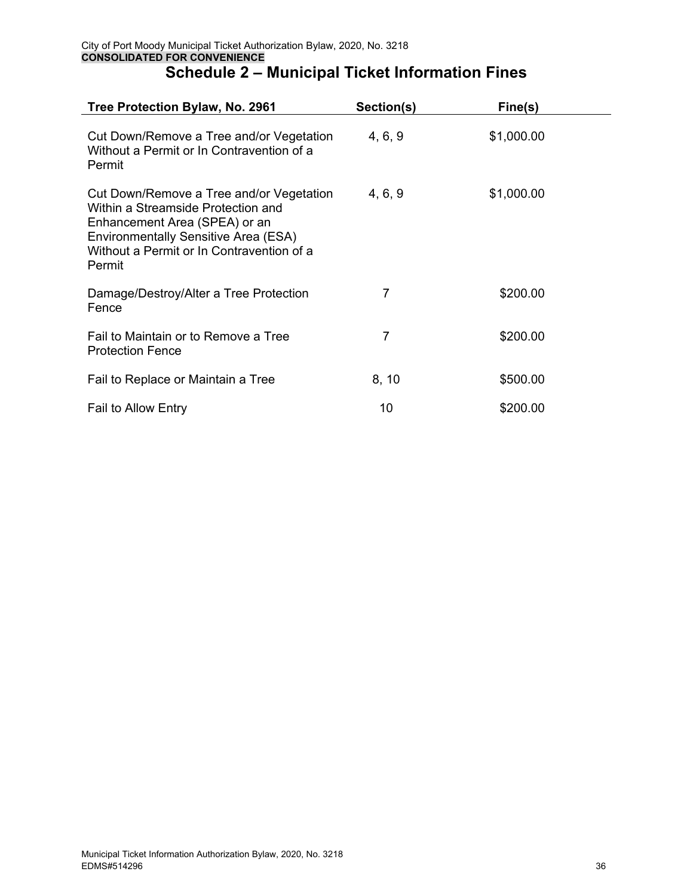| Tree Protection Bylaw, No. 2961                                                                                                                                                                                       | Section(s) | Fine(s)    |
|-----------------------------------------------------------------------------------------------------------------------------------------------------------------------------------------------------------------------|------------|------------|
| Cut Down/Remove a Tree and/or Vegetation<br>Without a Permit or In Contravention of a<br>Permit                                                                                                                       | 4, 6, 9    | \$1,000.00 |
| Cut Down/Remove a Tree and/or Vegetation<br>Within a Streamside Protection and<br>Enhancement Area (SPEA) or an<br><b>Environmentally Sensitive Area (ESA)</b><br>Without a Permit or In Contravention of a<br>Permit | 4, 6, 9    | \$1,000.00 |
| Damage/Destroy/Alter a Tree Protection<br>Fence                                                                                                                                                                       | 7          | \$200.00   |
| Fail to Maintain or to Remove a Tree<br><b>Protection Fence</b>                                                                                                                                                       | 7          | \$200.00   |
| Fail to Replace or Maintain a Tree                                                                                                                                                                                    | 8, 10      | \$500.00   |
| <b>Fail to Allow Entry</b>                                                                                                                                                                                            | 10         | \$200.00   |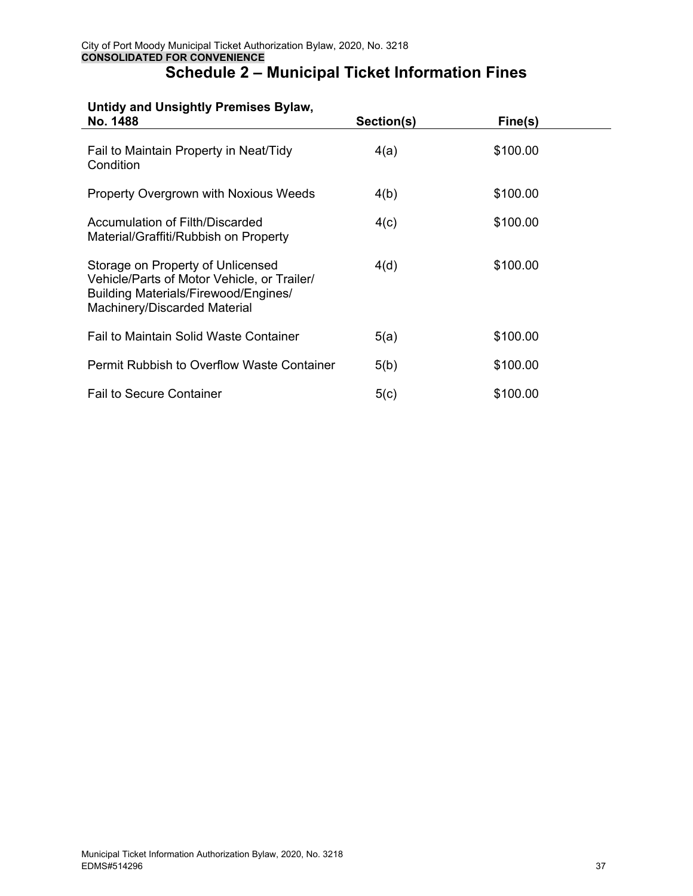#### **Untidy and Unsightly Premises Bylaw,**

| No. 1488                                                                                                                                                 | Section(s) | Fine(s)  |  |
|----------------------------------------------------------------------------------------------------------------------------------------------------------|------------|----------|--|
| Fail to Maintain Property in Neat/Tidy<br>Condition                                                                                                      | 4(a)       | \$100.00 |  |
| <b>Property Overgrown with Noxious Weeds</b>                                                                                                             | 4(b)       | \$100.00 |  |
| Accumulation of Filth/Discarded<br>Material/Graffiti/Rubbish on Property                                                                                 | 4(c)       | \$100.00 |  |
| Storage on Property of Unlicensed<br>Vehicle/Parts of Motor Vehicle, or Trailer/<br>Building Materials/Firewood/Engines/<br>Machinery/Discarded Material | 4(d)       | \$100.00 |  |
| Fail to Maintain Solid Waste Container                                                                                                                   | 5(a)       | \$100.00 |  |
| Permit Rubbish to Overflow Waste Container                                                                                                               | 5(b)       | \$100.00 |  |
| <b>Fail to Secure Container</b>                                                                                                                          | 5(c)       | \$100.00 |  |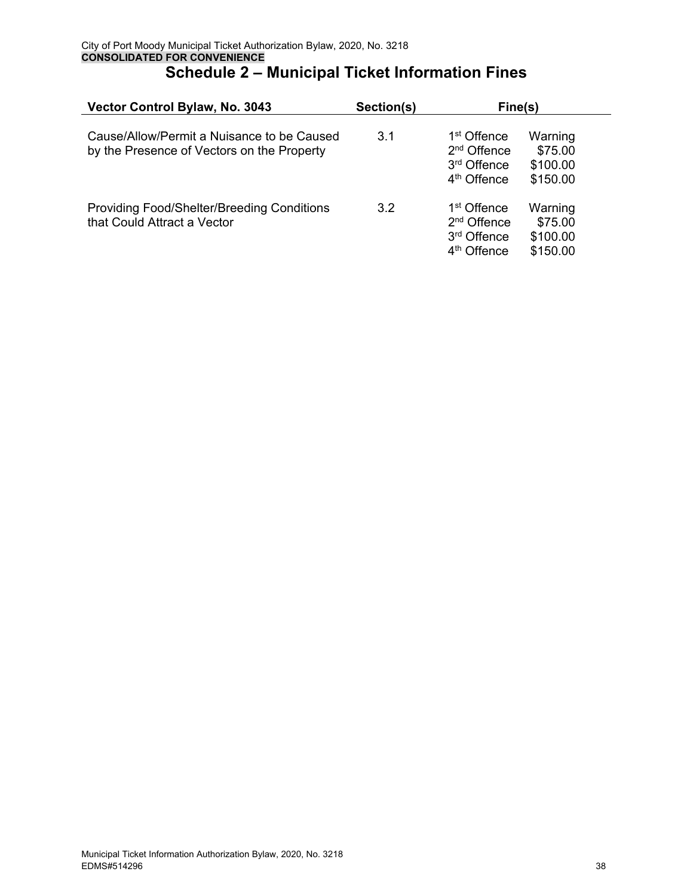| Vector Control Bylaw, No. 3043                                                           | Section(s) | Fine(s)                                                                                                                                                |
|------------------------------------------------------------------------------------------|------------|--------------------------------------------------------------------------------------------------------------------------------------------------------|
| Cause/Allow/Permit a Nuisance to be Caused<br>by the Presence of Vectors on the Property | 3.1        | 1 <sup>st</sup> Offence<br>Warning<br>2 <sup>nd</sup> Offence<br>\$75.00<br>3 <sup>rd</sup> Offence<br>\$100.00<br>4 <sup>th</sup> Offence<br>\$150.00 |
| <b>Providing Food/Shelter/Breeding Conditions</b><br>that Could Attract a Vector         | 3.2        | 1 <sup>st</sup> Offence<br>Warning<br>2 <sup>nd</sup> Offence<br>\$75.00<br>3 <sup>rd</sup> Offence<br>\$100.00<br>4 <sup>th</sup> Offence<br>\$150.00 |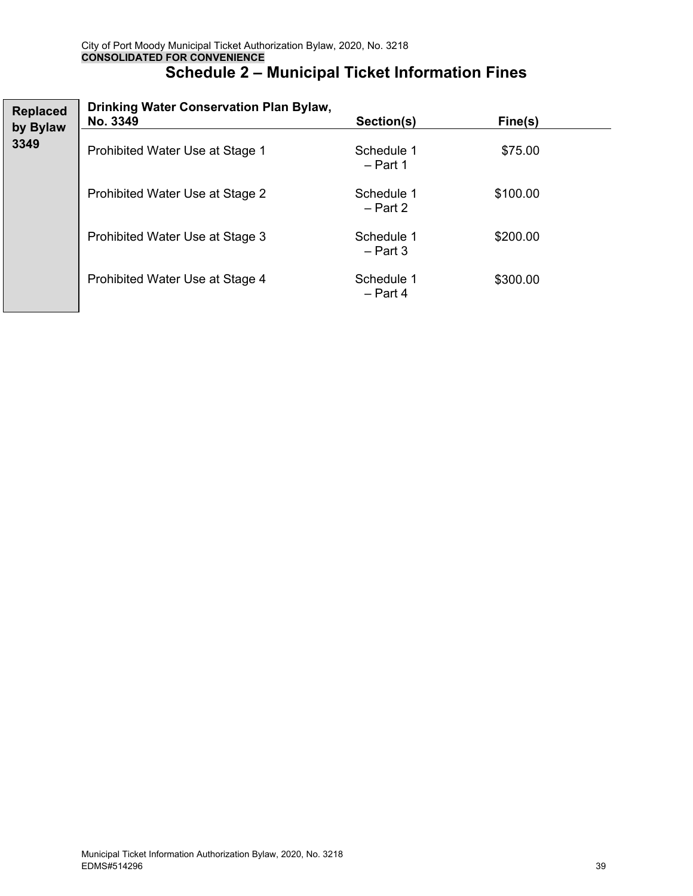| <b>Replaced</b><br>by Bylaw | Drinking Water Conservation Plan Bylaw,<br>No. 3349 | Section(s)               | Fine(s)  |  |
|-----------------------------|-----------------------------------------------------|--------------------------|----------|--|
| 3349                        | Prohibited Water Use at Stage 1                     | Schedule 1<br>$-$ Part 1 | \$75.00  |  |
|                             | Prohibited Water Use at Stage 2                     | Schedule 1<br>$-$ Part 2 | \$100.00 |  |
|                             | Prohibited Water Use at Stage 3                     | Schedule 1<br>$-$ Part 3 | \$200.00 |  |
|                             | Prohibited Water Use at Stage 4                     | Schedule 1<br>$-$ Part 4 | \$300.00 |  |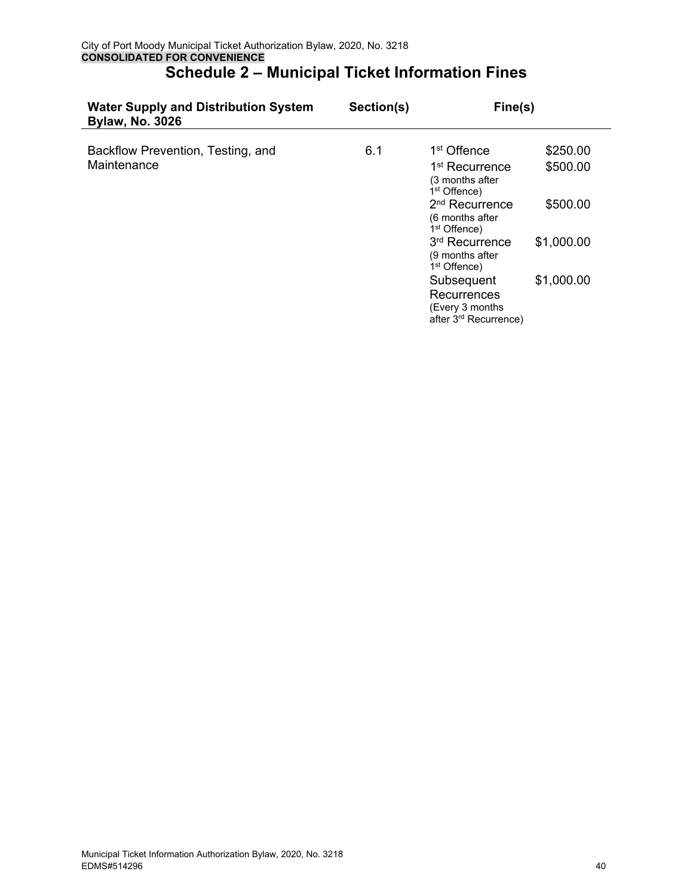| <b>Water Supply and Distribution System</b><br><b>Bylaw, No. 3026</b> | Section(s) | Fine(s)                                                                            |            |
|-----------------------------------------------------------------------|------------|------------------------------------------------------------------------------------|------------|
| Backflow Prevention, Testing, and                                     | 6.1        | 1 <sup>st</sup> Offence                                                            | \$250.00   |
| Maintenance                                                           |            | 1 <sup>st</sup> Recurrence<br>(3 months after<br>1 <sup>st</sup> Offence)          | \$500.00   |
|                                                                       |            | 2 <sup>nd</sup> Recurrence<br>(6 months after<br>1 <sup>st</sup> Offence)          | \$500.00   |
|                                                                       |            | 3rd Recurrence<br>(9 months after<br>1 <sup>st</sup> Offence)                      | \$1,000.00 |
|                                                                       |            | Subsequent<br>Recurrences<br>(Every 3 months)<br>after 3 <sup>rd</sup> Recurrence) | \$1,000.00 |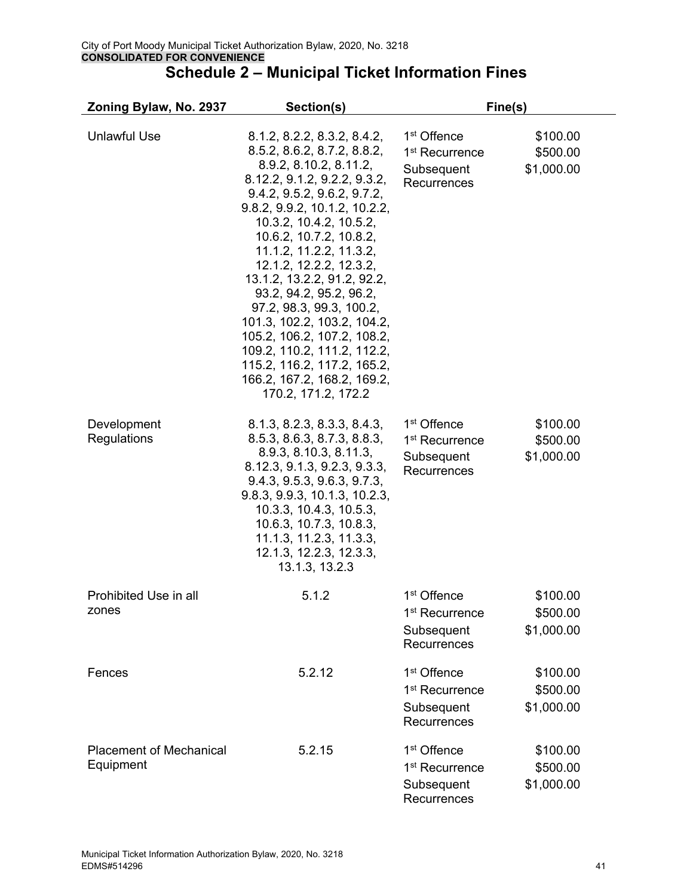| Zoning Bylaw, No. 2937                      | Section(s)                                                                                                                                                                                                                                                                                                                                                                                                                                                                                                                                                               | Fine(s)                                                                            |                                    |
|---------------------------------------------|--------------------------------------------------------------------------------------------------------------------------------------------------------------------------------------------------------------------------------------------------------------------------------------------------------------------------------------------------------------------------------------------------------------------------------------------------------------------------------------------------------------------------------------------------------------------------|------------------------------------------------------------------------------------|------------------------------------|
| <b>Unlawful Use</b>                         | 8.1.2, 8.2.2, 8.3.2, 8.4.2,<br>8.5.2, 8.6.2, 8.7.2, 8.8.2,<br>8.9.2, 8.10.2, 8.11.2,<br>8.12.2, 9.1.2, 9.2.2, 9.3.2,<br>9.4.2, 9.5.2, 9.6.2, 9.7.2,<br>9.8.2, 9.9.2, 10.1.2, 10.2.2,<br>10.3.2, 10.4.2, 10.5.2,<br>10.6.2, 10.7.2, 10.8.2,<br>11.1.2, 11.2.2, 11.3.2,<br>12.1.2, 12.2.2, 12.3.2,<br>13.1.2, 13.2.2, 91.2, 92.2,<br>93.2, 94.2, 95.2, 96.2,<br>97.2, 98.3, 99.3, 100.2,<br>101.3, 102.2, 103.2, 104.2,<br>105.2, 106.2, 107.2, 108.2,<br>109.2, 110.2, 111.2, 112.2,<br>115.2, 116.2, 117.2, 165.2,<br>166.2, 167.2, 168.2, 169.2,<br>170.2, 171.2, 172.2 | 1 <sup>st</sup> Offence<br>1 <sup>st</sup> Recurrence<br>Subsequent<br>Recurrences | \$100.00<br>\$500.00<br>\$1,000.00 |
| Development<br>Regulations                  | 8.1.3, 8.2.3, 8.3.3, 8.4.3,<br>8.5.3, 8.6.3, 8.7.3, 8.8.3,<br>8.9.3, 8.10.3, 8.11.3,<br>8.12.3, 9.1.3, 9.2.3, 9.3.3,<br>9.4.3, 9.5.3, 9.6.3, 9.7.3,<br>9.8.3, 9.9.3, 10.1.3, 10.2.3,<br>10.3.3, 10.4.3, 10.5.3,<br>10.6.3, 10.7.3, 10.8.3,<br>11.1.3, 11.2.3, 11.3.3,<br>12.1.3, 12.2.3, 12.3.3,<br>13.1.3, 13.2.3                                                                                                                                                                                                                                                       | 1 <sup>st</sup> Offence<br>1 <sup>st</sup> Recurrence<br>Subsequent<br>Recurrences | \$100.00<br>\$500.00<br>\$1,000.00 |
| Prohibited Use in all<br>zones              | 5.1.2                                                                                                                                                                                                                                                                                                                                                                                                                                                                                                                                                                    | 1 <sup>st</sup> Offence<br>1 <sup>st</sup> Recurrence<br>Subsequent<br>Recurrences | \$100.00<br>\$500.00<br>\$1,000.00 |
| Fences                                      | 5.2.12                                                                                                                                                                                                                                                                                                                                                                                                                                                                                                                                                                   | 1 <sup>st</sup> Offence<br>1 <sup>st</sup> Recurrence<br>Subsequent<br>Recurrences | \$100.00<br>\$500.00<br>\$1,000.00 |
| <b>Placement of Mechanical</b><br>Equipment | 5.2.15                                                                                                                                                                                                                                                                                                                                                                                                                                                                                                                                                                   | 1 <sup>st</sup> Offence<br>1 <sup>st</sup> Recurrence<br>Subsequent<br>Recurrences | \$100.00<br>\$500.00<br>\$1,000.00 |